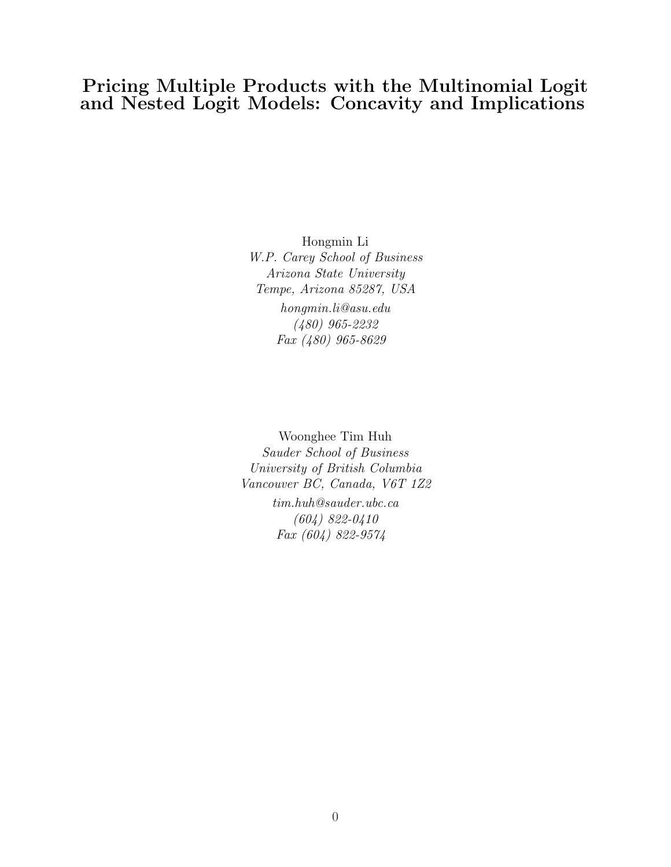# Pricing Multiple Products with the Multinomial Logit and Nested Logit Models: Concavity and Implications

Hongmin Li W.P. Carey School of Business Arizona State University Tempe, Arizona 85287, USA hongmin.li@asu.edu (480) 965-2232 Fax (480) 965-8629

Woonghee Tim Huh Sauder School of Business University of British Columbia Vancouver BC, Canada, V6T 1Z2 tim.huh@sauder.ubc.ca (604) 822-0410 Fax (604) 822-9574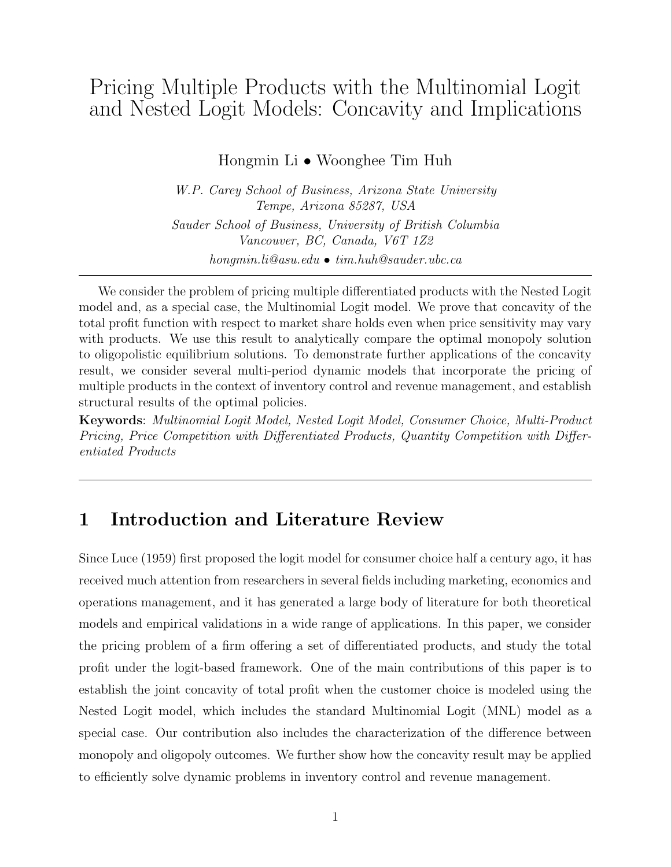# Pricing Multiple Products with the Multinomial Logit and Nested Logit Models: Concavity and Implications

Hongmin Li • Woonghee Tim Huh

W.P. Carey School of Business, Arizona State University Tempe, Arizona 85287, USA Sauder School of Business, University of British Columbia Vancouver, BC, Canada, V6T 1Z2 hongmin.li@asu.edu • tim.huh@sauder.ubc.ca

We consider the problem of pricing multiple differentiated products with the Nested Logit model and, as a special case, the Multinomial Logit model. We prove that concavity of the total profit function with respect to market share holds even when price sensitivity may vary with products. We use this result to analytically compare the optimal monopoly solution to oligopolistic equilibrium solutions. To demonstrate further applications of the concavity result, we consider several multi-period dynamic models that incorporate the pricing of multiple products in the context of inventory control and revenue management, and establish structural results of the optimal policies.

Keywords: Multinomial Logit Model, Nested Logit Model, Consumer Choice, Multi-Product Pricing, Price Competition with Differentiated Products, Quantity Competition with Differentiated Products

# 1 Introduction and Literature Review

Since Luce (1959) first proposed the logit model for consumer choice half a century ago, it has received much attention from researchers in several fields including marketing, economics and operations management, and it has generated a large body of literature for both theoretical models and empirical validations in a wide range of applications. In this paper, we consider the pricing problem of a firm offering a set of differentiated products, and study the total profit under the logit-based framework. One of the main contributions of this paper is to establish the joint concavity of total profit when the customer choice is modeled using the Nested Logit model, which includes the standard Multinomial Logit (MNL) model as a special case. Our contribution also includes the characterization of the difference between monopoly and oligopoly outcomes. We further show how the concavity result may be applied to efficiently solve dynamic problems in inventory control and revenue management.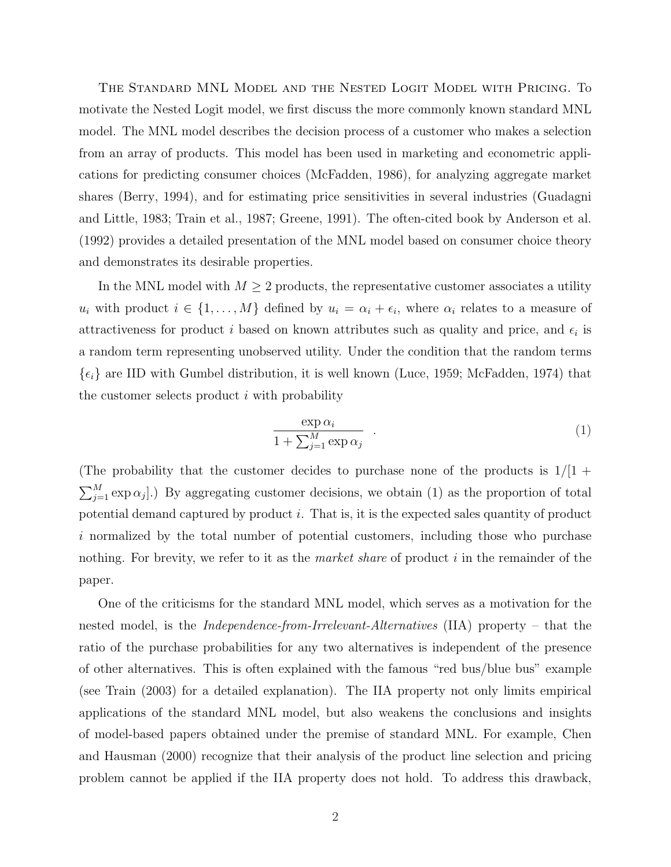The Standard MNL Model and the Nested Logit Model with Pricing. To motivate the Nested Logit model, we first discuss the more commonly known standard MNL model. The MNL model describes the decision process of a customer who makes a selection from an array of products. This model has been used in marketing and econometric applications for predicting consumer choices (McFadden, 1986), for analyzing aggregate market shares (Berry, 1994), and for estimating price sensitivities in several industries (Guadagni and Little, 1983; Train et al., 1987; Greene, 1991). The often-cited book by Anderson et al. (1992) provides a detailed presentation of the MNL model based on consumer choice theory and demonstrates its desirable properties.

In the MNL model with  $M \geq 2$  products, the representative customer associates a utility  $u_i$  with product  $i \in \{1, \ldots, M\}$  defined by  $u_i = \alpha_i + \epsilon_i$ , where  $\alpha_i$  relates to a measure of attractiveness for product i based on known attributes such as quality and price, and  $\epsilon_i$  is a random term representing unobserved utility. Under the condition that the random terms  $\{\epsilon_i\}$  are IID with Gumbel distribution, it is well known (Luce, 1959; McFadden, 1974) that the customer selects product  $i$  with probability

$$
\frac{\exp \alpha_i}{1 + \sum_{j=1}^M \exp \alpha_j} \qquad (1)
$$

(The probability that the customer decides to purchase none of the products is  $1/1 +$  $\sum_{i=1}^{n} M_i$  $_{j=1}^{M}$  exp  $\alpha_{j}$ ].) By aggregating customer decisions, we obtain (1) as the proportion of total potential demand captured by product i. That is, it is the expected sales quantity of product i normalized by the total number of potential customers, including those who purchase nothing. For brevity, we refer to it as the *market share* of product  $i$  in the remainder of the paper.

One of the criticisms for the standard MNL model, which serves as a motivation for the nested model, is the *Independence-from-Irrelevant-Alternatives* (IIA) property – that the ratio of the purchase probabilities for any two alternatives is independent of the presence of other alternatives. This is often explained with the famous "red bus/blue bus" example (see Train (2003) for a detailed explanation). The IIA property not only limits empirical applications of the standard MNL model, but also weakens the conclusions and insights of model-based papers obtained under the premise of standard MNL. For example, Chen and Hausman (2000) recognize that their analysis of the product line selection and pricing problem cannot be applied if the IIA property does not hold. To address this drawback,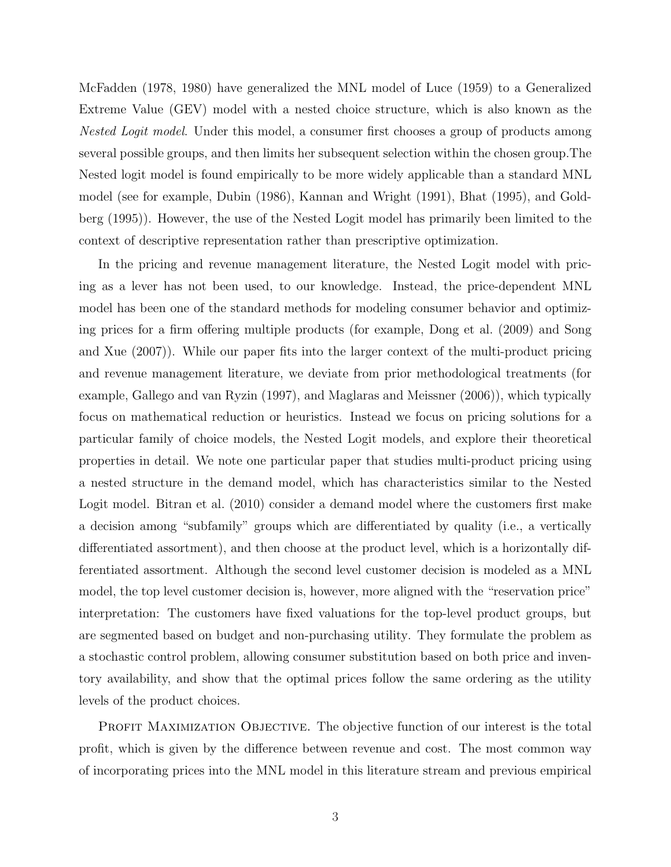McFadden (1978, 1980) have generalized the MNL model of Luce (1959) to a Generalized Extreme Value (GEV) model with a nested choice structure, which is also known as the Nested Logit model. Under this model, a consumer first chooses a group of products among several possible groups, and then limits her subsequent selection within the chosen group.The Nested logit model is found empirically to be more widely applicable than a standard MNL model (see for example, Dubin (1986), Kannan and Wright (1991), Bhat (1995), and Goldberg (1995)). However, the use of the Nested Logit model has primarily been limited to the context of descriptive representation rather than prescriptive optimization.

In the pricing and revenue management literature, the Nested Logit model with pricing as a lever has not been used, to our knowledge. Instead, the price-dependent MNL model has been one of the standard methods for modeling consumer behavior and optimizing prices for a firm offering multiple products (for example, Dong et al. (2009) and Song and Xue (2007)). While our paper fits into the larger context of the multi-product pricing and revenue management literature, we deviate from prior methodological treatments (for example, Gallego and van Ryzin (1997), and Maglaras and Meissner (2006)), which typically focus on mathematical reduction or heuristics. Instead we focus on pricing solutions for a particular family of choice models, the Nested Logit models, and explore their theoretical properties in detail. We note one particular paper that studies multi-product pricing using a nested structure in the demand model, which has characteristics similar to the Nested Logit model. Bitran et al.  $(2010)$  consider a demand model where the customers first make a decision among "subfamily" groups which are differentiated by quality (i.e., a vertically differentiated assortment), and then choose at the product level, which is a horizontally differentiated assortment. Although the second level customer decision is modeled as a MNL model, the top level customer decision is, however, more aligned with the "reservation price" interpretation: The customers have fixed valuations for the top-level product groups, but are segmented based on budget and non-purchasing utility. They formulate the problem as a stochastic control problem, allowing consumer substitution based on both price and inventory availability, and show that the optimal prices follow the same ordering as the utility levels of the product choices.

PROFIT MAXIMIZATION OBJECTIVE. The objective function of our interest is the total profit, which is given by the difference between revenue and cost. The most common way of incorporating prices into the MNL model in this literature stream and previous empirical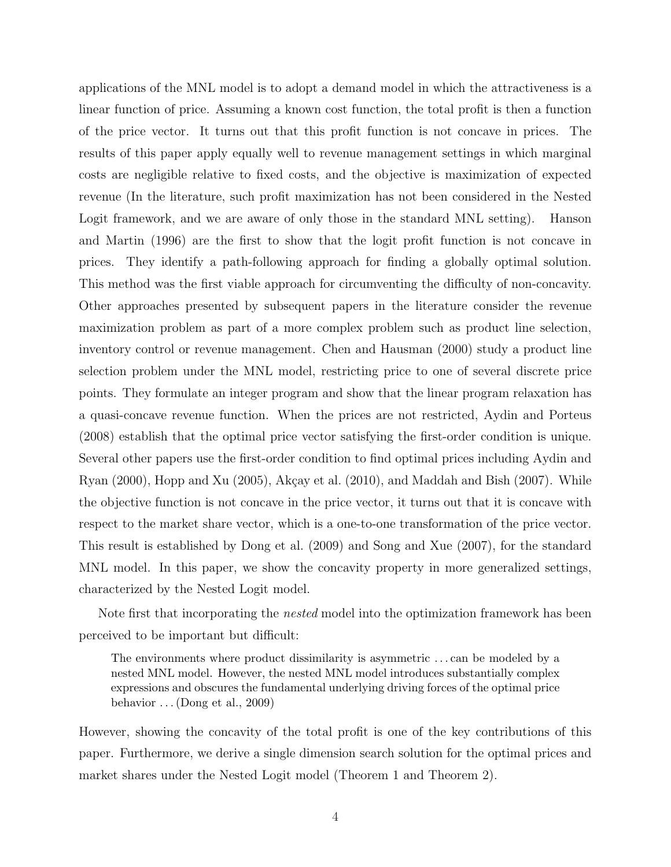applications of the MNL model is to adopt a demand model in which the attractiveness is a linear function of price. Assuming a known cost function, the total profit is then a function of the price vector. It turns out that this profit function is not concave in prices. The results of this paper apply equally well to revenue management settings in which marginal costs are negligible relative to fixed costs, and the objective is maximization of expected revenue (In the literature, such profit maximization has not been considered in the Nested Logit framework, and we are aware of only those in the standard MNL setting). Hanson and Martin (1996) are the first to show that the logit profit function is not concave in prices. They identify a path-following approach for finding a globally optimal solution. This method was the first viable approach for circumventing the difficulty of non-concavity. Other approaches presented by subsequent papers in the literature consider the revenue maximization problem as part of a more complex problem such as product line selection, inventory control or revenue management. Chen and Hausman (2000) study a product line selection problem under the MNL model, restricting price to one of several discrete price points. They formulate an integer program and show that the linear program relaxation has a quasi-concave revenue function. When the prices are not restricted, Aydin and Porteus (2008) establish that the optimal price vector satisfying the first-order condition is unique. Several other papers use the first-order condition to find optimal prices including Aydin and Ryan  $(2000)$ , Hopp and Xu  $(2005)$ , Akçay et al.  $(2010)$ , and Maddah and Bish  $(2007)$ . While the objective function is not concave in the price vector, it turns out that it is concave with respect to the market share vector, which is a one-to-one transformation of the price vector. This result is established by Dong et al. (2009) and Song and Xue (2007), for the standard MNL model. In this paper, we show the concavity property in more generalized settings, characterized by the Nested Logit model.

Note first that incorporating the *nested* model into the optimization framework has been perceived to be important but difficult:

The environments where product dissimilarity is asymmetric . . . can be modeled by a nested MNL model. However, the nested MNL model introduces substantially complex expressions and obscures the fundamental underlying driving forces of the optimal price behavior  $\dots$  (Dong et al., 2009)

However, showing the concavity of the total profit is one of the key contributions of this paper. Furthermore, we derive a single dimension search solution for the optimal prices and market shares under the Nested Logit model (Theorem 1 and Theorem 2).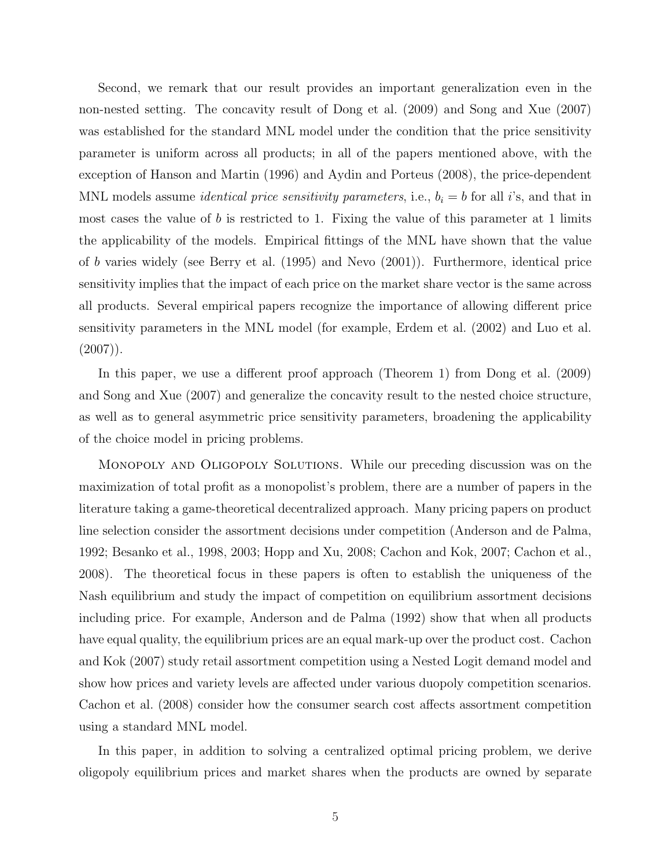Second, we remark that our result provides an important generalization even in the non-nested setting. The concavity result of Dong et al. (2009) and Song and Xue (2007) was established for the standard MNL model under the condition that the price sensitivity parameter is uniform across all products; in all of the papers mentioned above, with the exception of Hanson and Martin (1996) and Aydin and Porteus (2008), the price-dependent MNL models assume *identical price sensitivity parameters*, i.e.,  $b_i = b$  for all *i*'s, and that in most cases the value of b is restricted to 1. Fixing the value of this parameter at 1 limits the applicability of the models. Empirical fittings of the MNL have shown that the value of b varies widely (see Berry et al. (1995) and Nevo (2001)). Furthermore, identical price sensitivity implies that the impact of each price on the market share vector is the same across all products. Several empirical papers recognize the importance of allowing different price sensitivity parameters in the MNL model (for example, Erdem et al. (2002) and Luo et al.  $(2007)$ .

In this paper, we use a different proof approach (Theorem 1) from Dong et al. (2009) and Song and Xue (2007) and generalize the concavity result to the nested choice structure, as well as to general asymmetric price sensitivity parameters, broadening the applicability of the choice model in pricing problems.

Monopoly and Oligopoly Solutions. While our preceding discussion was on the maximization of total profit as a monopolist's problem, there are a number of papers in the literature taking a game-theoretical decentralized approach. Many pricing papers on product line selection consider the assortment decisions under competition (Anderson and de Palma, 1992; Besanko et al., 1998, 2003; Hopp and Xu, 2008; Cachon and Kok, 2007; Cachon et al., 2008). The theoretical focus in these papers is often to establish the uniqueness of the Nash equilibrium and study the impact of competition on equilibrium assortment decisions including price. For example, Anderson and de Palma (1992) show that when all products have equal quality, the equilibrium prices are an equal mark-up over the product cost. Cachon and Kok (2007) study retail assortment competition using a Nested Logit demand model and show how prices and variety levels are affected under various duopoly competition scenarios. Cachon et al. (2008) consider how the consumer search cost affects assortment competition using a standard MNL model.

In this paper, in addition to solving a centralized optimal pricing problem, we derive oligopoly equilibrium prices and market shares when the products are owned by separate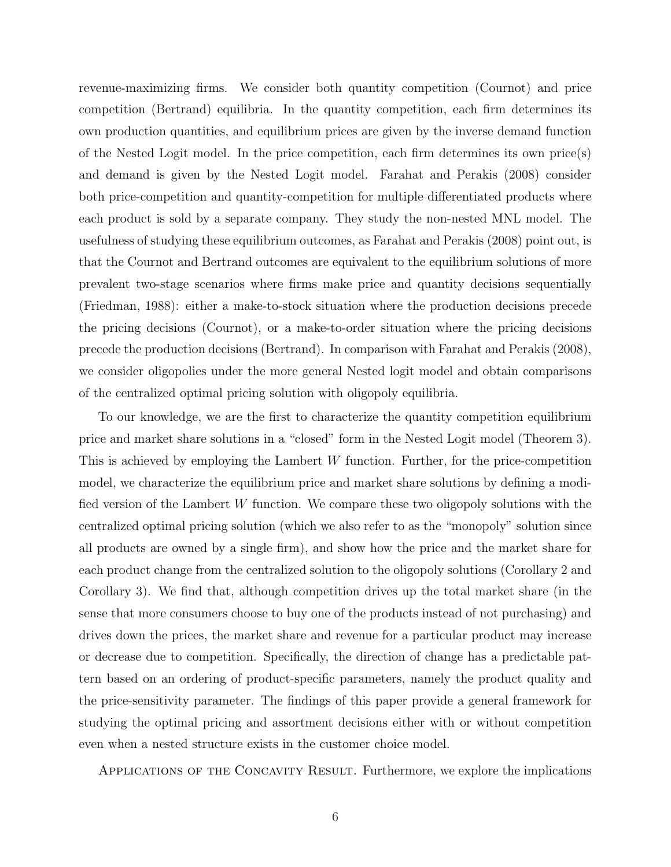revenue-maximizing firms. We consider both quantity competition (Cournot) and price competition (Bertrand) equilibria. In the quantity competition, each firm determines its own production quantities, and equilibrium prices are given by the inverse demand function of the Nested Logit model. In the price competition, each firm determines its own price(s) and demand is given by the Nested Logit model. Farahat and Perakis (2008) consider both price-competition and quantity-competition for multiple differentiated products where each product is sold by a separate company. They study the non-nested MNL model. The usefulness of studying these equilibrium outcomes, as Farahat and Perakis (2008) point out, is that the Cournot and Bertrand outcomes are equivalent to the equilibrium solutions of more prevalent two-stage scenarios where firms make price and quantity decisions sequentially (Friedman, 1988): either a make-to-stock situation where the production decisions precede the pricing decisions (Cournot), or a make-to-order situation where the pricing decisions precede the production decisions (Bertrand). In comparison with Farahat and Perakis (2008), we consider oligopolies under the more general Nested logit model and obtain comparisons of the centralized optimal pricing solution with oligopoly equilibria.

To our knowledge, we are the first to characterize the quantity competition equilibrium price and market share solutions in a "closed" form in the Nested Logit model (Theorem 3). This is achieved by employing the Lambert  $W$  function. Further, for the price-competition model, we characterize the equilibrium price and market share solutions by defining a modified version of the Lambert W function. We compare these two oligopoly solutions with the centralized optimal pricing solution (which we also refer to as the "monopoly" solution since all products are owned by a single firm), and show how the price and the market share for each product change from the centralized solution to the oligopoly solutions (Corollary 2 and Corollary 3). We find that, although competition drives up the total market share (in the sense that more consumers choose to buy one of the products instead of not purchasing) and drives down the prices, the market share and revenue for a particular product may increase or decrease due to competition. Specifically, the direction of change has a predictable pattern based on an ordering of product-specific parameters, namely the product quality and the price-sensitivity parameter. The findings of this paper provide a general framework for studying the optimal pricing and assortment decisions either with or without competition even when a nested structure exists in the customer choice model.

Applications of the Concavity Result. Furthermore, we explore the implications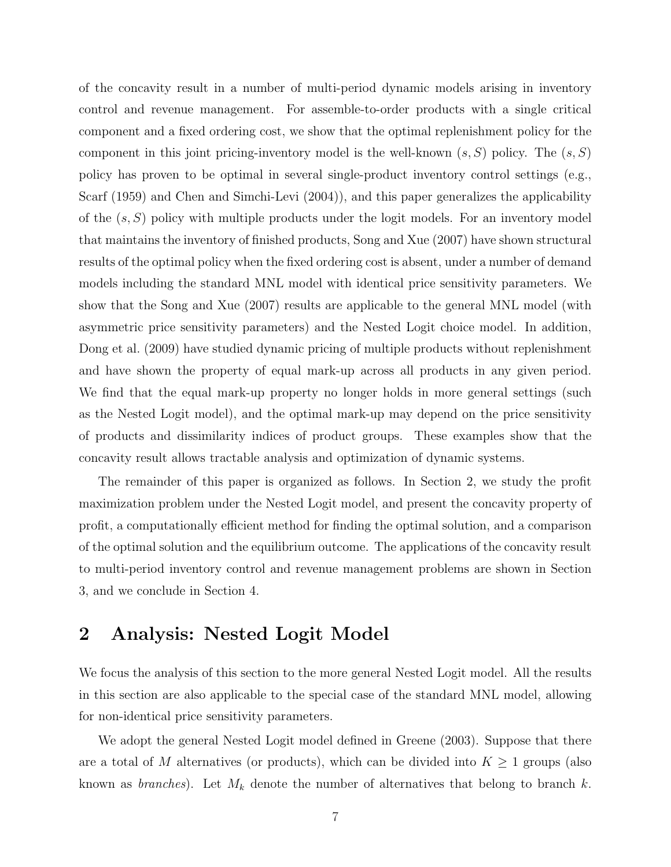of the concavity result in a number of multi-period dynamic models arising in inventory control and revenue management. For assemble-to-order products with a single critical component and a fixed ordering cost, we show that the optimal replenishment policy for the component in this joint pricing-inventory model is the well-known  $(s, S)$  policy. The  $(s, S)$ policy has proven to be optimal in several single-product inventory control settings (e.g., Scarf (1959) and Chen and Simchi-Levi (2004)), and this paper generalizes the applicability of the  $(s, S)$  policy with multiple products under the logit models. For an inventory model that maintains the inventory of finished products, Song and Xue (2007) have shown structural results of the optimal policy when the fixed ordering cost is absent, under a number of demand models including the standard MNL model with identical price sensitivity parameters. We show that the Song and Xue (2007) results are applicable to the general MNL model (with asymmetric price sensitivity parameters) and the Nested Logit choice model. In addition, Dong et al. (2009) have studied dynamic pricing of multiple products without replenishment and have shown the property of equal mark-up across all products in any given period. We find that the equal mark-up property no longer holds in more general settings (such as the Nested Logit model), and the optimal mark-up may depend on the price sensitivity of products and dissimilarity indices of product groups. These examples show that the concavity result allows tractable analysis and optimization of dynamic systems.

The remainder of this paper is organized as follows. In Section 2, we study the profit maximization problem under the Nested Logit model, and present the concavity property of profit, a computationally efficient method for finding the optimal solution, and a comparison of the optimal solution and the equilibrium outcome. The applications of the concavity result to multi-period inventory control and revenue management problems are shown in Section 3, and we conclude in Section 4.

## 2 Analysis: Nested Logit Model

We focus the analysis of this section to the more general Nested Logit model. All the results in this section are also applicable to the special case of the standard MNL model, allowing for non-identical price sensitivity parameters.

We adopt the general Nested Logit model defined in Greene (2003). Suppose that there are a total of M alternatives (or products), which can be divided into  $K \geq 1$  groups (also known as *branches*). Let  $M_k$  denote the number of alternatives that belong to branch k.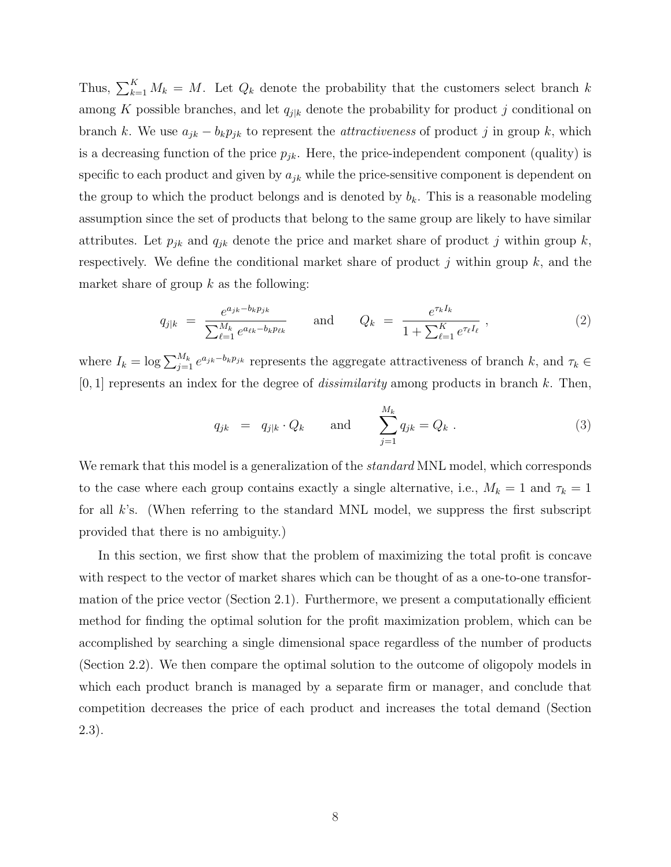Thus,  $\sum_{k=1}^{K} M_k = M$ . Let  $Q_k$  denote the probability that the customers select branch k among K possible branches, and let  $q_{j|k}$  denote the probability for product j conditional on branch k. We use  $a_{jk} - b_k p_{jk}$  to represent the *attractiveness* of product j in group k, which is a decreasing function of the price  $p_{jk}$ . Here, the price-independent component (quality) is specific to each product and given by  $a_{jk}$  while the price-sensitive component is dependent on the group to which the product belongs and is denoted by  $b_k$ . This is a reasonable modeling assumption since the set of products that belong to the same group are likely to have similar attributes. Let  $p_{jk}$  and  $q_{jk}$  denote the price and market share of product j within group k, respectively. We define the conditional market share of product  $j$  within group  $k$ , and the market share of group  $k$  as the following:

$$
q_{j|k} = \frac{e^{a_{jk} - b_k p_{jk}}}{\sum_{\ell=1}^{M_k} e^{a_{\ell k} - b_k p_{\ell k}}} \quad \text{and} \quad Q_k = \frac{e^{\tau_k I_k}}{1 + \sum_{\ell=1}^{K} e^{\tau_\ell I_\ell}}, \quad (2)
$$

where  $I_k = \log \sum_{j=1}^{M_k} e^{a_{jk}-b_k p_{jk}}$  represents the aggregate attractiveness of branch k, and  $\tau_k \in$  $[0, 1]$  represents an index for the degree of *dissimilarity* among products in branch k. Then,

$$
q_{jk} = q_{j|k} \cdot Q_k
$$
 and  $\sum_{j=1}^{M_k} q_{jk} = Q_k$ . (3)

We remark that this model is a generalization of the *standard* MNL model, which corresponds to the case where each group contains exactly a single alternative, i.e.,  $M_k = 1$  and  $\tau_k = 1$ for all k's. (When referring to the standard MNL model, we suppress the first subscript provided that there is no ambiguity.)

In this section, we first show that the problem of maximizing the total profit is concave with respect to the vector of market shares which can be thought of as a one-to-one transformation of the price vector (Section 2.1). Furthermore, we present a computationally efficient method for finding the optimal solution for the profit maximization problem, which can be accomplished by searching a single dimensional space regardless of the number of products (Section 2.2). We then compare the optimal solution to the outcome of oligopoly models in which each product branch is managed by a separate firm or manager, and conclude that competition decreases the price of each product and increases the total demand (Section 2.3).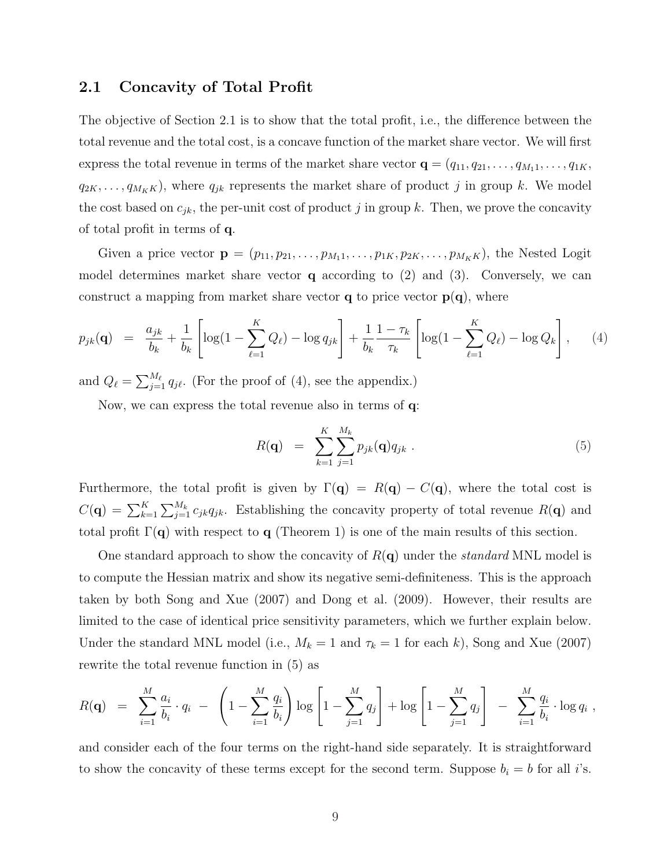### 2.1 Concavity of Total Profit

The objective of Section 2.1 is to show that the total profit, i.e., the difference between the total revenue and the total cost, is a concave function of the market share vector. We will first express the total revenue in terms of the market share vector  $\mathbf{q} = (q_{11}, q_{21}, \dots, q_{M_11}, \dots, q_{1K},$  $q_{2K}, \ldots, q_{M_K}$ , where  $q_{jk}$  represents the market share of product j in group k. We model the cost based on  $c_{jk}$ , the per-unit cost of product j in group k. Then, we prove the concavity of total profit in terms of q.

Given a price vector  $\mathbf{p} = (p_{11}, p_{21}, \ldots, p_{M_11}, \ldots, p_{1K}, p_{2K}, \ldots, p_{M_K})$ , the Nested Logit model determines market share vector  $q$  according to  $(2)$  and  $(3)$ . Conversely, we can construct a mapping from market share vector  $q$  to price vector  $p(q)$ , where

$$
p_{jk}(\mathbf{q}) = \frac{a_{jk}}{b_k} + \frac{1}{b_k} \left[ \log(1 - \sum_{\ell=1}^K Q_\ell) - \log q_{jk} \right] + \frac{1}{b_k} \frac{1 - \tau_k}{\tau_k} \left[ \log(1 - \sum_{\ell=1}^K Q_\ell) - \log Q_k \right], \quad (4)
$$

and  $Q_{\ell} = \sum_{i=1}^{M_{\ell}}$  $_{j=1}^{M_{\ell}} q_{j\ell}$ . (For the proof of (4), see the appendix.)

Now, we can express the total revenue also in terms of q:

$$
R(\mathbf{q}) = \sum_{k=1}^{K} \sum_{j=1}^{M_k} p_{jk}(\mathbf{q}) q_{jk} . \qquad (5)
$$

Furthermore, the total profit is given by  $\Gamma(\mathbf{q}) = R(\mathbf{q}) - C(\mathbf{q})$ , where the total cost is  $C({\bf q}) = \sum_{k=1}^{K}$  $\bigcap_{k}$  $\frac{M_k}{j=1} c_{jk} q_{jk}$ . Establishing the concavity property of total revenue  $R(\mathbf{q})$  and total profit  $\Gamma(\mathbf{q})$  with respect to  $\mathbf{q}$  (Theorem 1) is one of the main results of this section.

One standard approach to show the concavity of  $R(\mathbf{q})$  under the *standard* MNL model is to compute the Hessian matrix and show its negative semi-definiteness. This is the approach taken by both Song and Xue (2007) and Dong et al. (2009). However, their results are limited to the case of identical price sensitivity parameters, which we further explain below. Under the standard MNL model (i.e.,  $M_k = 1$  and  $\tau_k = 1$  for each k), Song and Xue (2007) rewrite the total revenue function in (5) as

$$
R(\mathbf{q}) = \sum_{i=1}^{M} \frac{a_i}{b_i} \cdot q_i - \left(1 - \sum_{i=1}^{M} \frac{q_i}{b_i}\right) \log \left[1 - \sum_{j=1}^{M} q_j\right] + \log \left[1 - \sum_{j=1}^{M} q_j\right] - \sum_{i=1}^{M} \frac{q_i}{b_i} \cdot \log q_i,
$$

and consider each of the four terms on the right-hand side separately. It is straightforward to show the concavity of these terms except for the second term. Suppose  $b_i = b$  for all i's.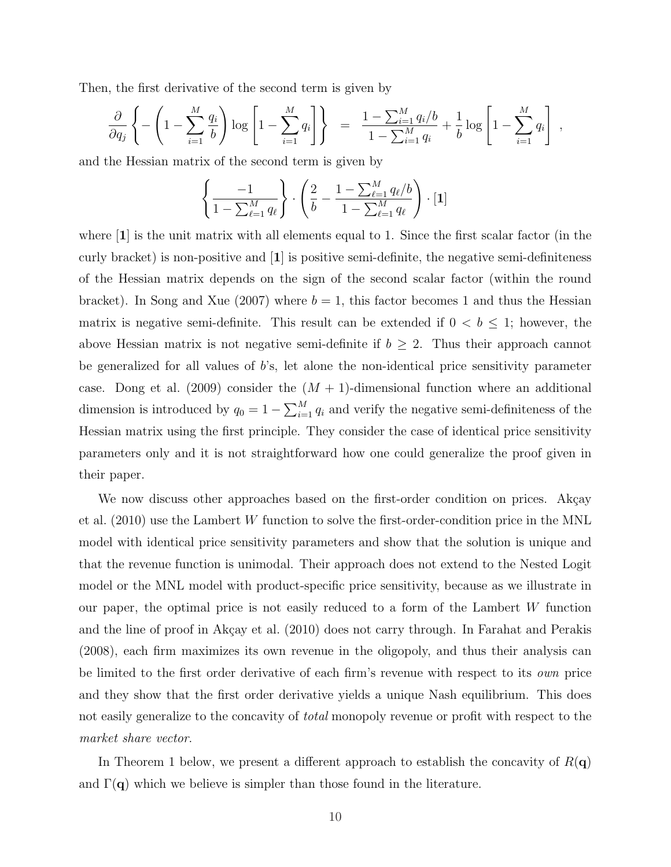Then, the first derivative of the second term is given by

$$
\frac{\partial}{\partial q_j} \left\{ - \left( 1 - \sum_{i=1}^M \frac{q_i}{b} \right) \log \left[ 1 - \sum_{i=1}^M q_i \right] \right\} = \frac{1 - \sum_{i=1}^M q_i/b}{1 - \sum_{i=1}^M q_i} + \frac{1}{b} \log \left[ 1 - \sum_{i=1}^M q_i \right],
$$

and the Hessian matrix of the second term is given by

$$
\left\{\frac{-1}{1-\sum_{\ell=1}^{M} q_{\ell}}\right\} \cdot \left(\frac{2}{b} - \frac{1-\sum_{\ell=1}^{M} q_{\ell}/b}{1-\sum_{\ell=1}^{M} q_{\ell}}\right) \cdot [1]
$$

where  $|1|$  is the unit matrix with all elements equal to 1. Since the first scalar factor (in the curly bracket) is non-positive and [1] is positive semi-definite, the negative semi-definiteness of the Hessian matrix depends on the sign of the second scalar factor (within the round bracket). In Song and Xue (2007) where  $b = 1$ , this factor becomes 1 and thus the Hessian matrix is negative semi-definite. This result can be extended if  $0 < b \leq 1$ ; however, the above Hessian matrix is not negative semi-definite if  $b \geq 2$ . Thus their approach cannot be generalized for all values of  $b$ 's, let alone the non-identical price sensitivity parameter case. Dong et al. (2009) consider the  $(M + 1)$ -dimensional function where an additional dimension is introduced by  $q_0 = 1 - \sum_{i=1}^{M}$  $\sum_{i=1}^{M} q_i$  and verify the negative semi-definiteness of the Hessian matrix using the first principle. They consider the case of identical price sensitivity parameters only and it is not straightforward how one could generalize the proof given in their paper.

We now discuss other approaches based on the first-order condition on prices. Akçay et al. (2010) use the Lambert W function to solve the first-order-condition price in the MNL model with identical price sensitivity parameters and show that the solution is unique and that the revenue function is unimodal. Their approach does not extend to the Nested Logit model or the MNL model with product-specific price sensitivity, because as we illustrate in our paper, the optimal price is not easily reduced to a form of the Lambert W function and the line of proof in Akçay et al. (2010) does not carry through. In Farahat and Perakis (2008), each firm maximizes its own revenue in the oligopoly, and thus their analysis can be limited to the first order derivative of each firm's revenue with respect to its *own* price and they show that the first order derivative yields a unique Nash equilibrium. This does not easily generalize to the concavity of *total* monopoly revenue or profit with respect to the market share vector.

In Theorem 1 below, we present a different approach to establish the concavity of  $R(\mathbf{q})$ and  $\Gamma(\mathbf{q})$  which we believe is simpler than those found in the literature.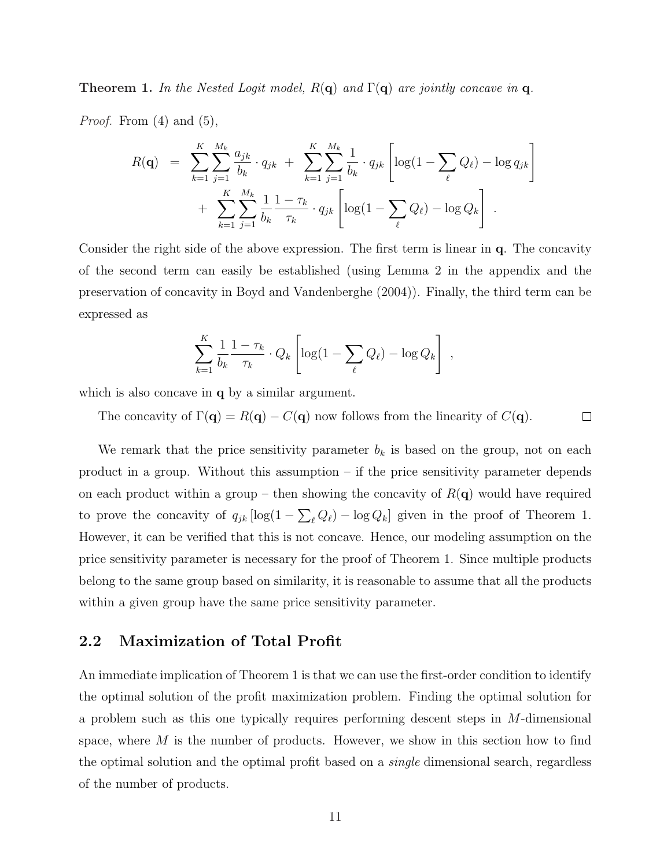**Theorem 1.** In the Nested Logit model,  $R(\mathbf{q})$  and  $\Gamma(\mathbf{q})$  are jointly concave in q.

*Proof.* From  $(4)$  and  $(5)$ ,

$$
R(\mathbf{q}) = \sum_{k=1}^{K} \sum_{j=1}^{M_k} \frac{a_{jk}}{b_k} \cdot q_{jk} + \sum_{k=1}^{K} \sum_{j=1}^{M_k} \frac{1}{b_k} \cdot q_{jk} \left[ \log(1 - \sum_{\ell} Q_{\ell}) - \log q_{jk} \right] + \sum_{k=1}^{K} \sum_{j=1}^{M_k} \frac{1}{b_k} \frac{1 - \tau_k}{\tau_k} \cdot q_{jk} \left[ \log(1 - \sum_{\ell} Q_{\ell}) - \log Q_k \right].
$$

Consider the right side of the above expression. The first term is linear in q. The concavity of the second term can easily be established (using Lemma 2 in the appendix and the preservation of concavity in Boyd and Vandenberghe (2004)). Finally, the third term can be expressed as

$$
\sum_{k=1}^K \frac{1}{b_k} \frac{1 - \tau_k}{\tau_k} \cdot Q_k \left[ \log(1 - \sum_{\ell} Q_{\ell}) - \log Q_k \right],
$$

which is also concave in **q** by a similar argument.

The concavity of  $\Gamma(\mathbf{q}) = R(\mathbf{q}) - C(\mathbf{q})$  now follows from the linearity of  $C(\mathbf{q})$ .  $\Box$ 

We remark that the price sensitivity parameter  $b_k$  is based on the group, not on each product in a group. Without this assumption – if the price sensitivity parameter depends on each product within a group – then showing the concavity of  $R(\mathbf{q})$  would have required to prove the concavity of  $q_{jk}$  [log(1 –  $\overline{ }$  $_{\ell} Q_{\ell}$ ) – log  $Q_k$ ] given in the proof of Theorem 1. However, it can be verified that this is not concave. Hence, our modeling assumption on the price sensitivity parameter is necessary for the proof of Theorem 1. Since multiple products belong to the same group based on similarity, it is reasonable to assume that all the products within a given group have the same price sensitivity parameter.

### 2.2 Maximization of Total Profit

An immediate implication of Theorem 1 is that we can use the first-order condition to identify the optimal solution of the profit maximization problem. Finding the optimal solution for a problem such as this one typically requires performing descent steps in M-dimensional space, where  $M$  is the number of products. However, we show in this section how to find the optimal solution and the optimal profit based on a *single* dimensional search, regardless of the number of products.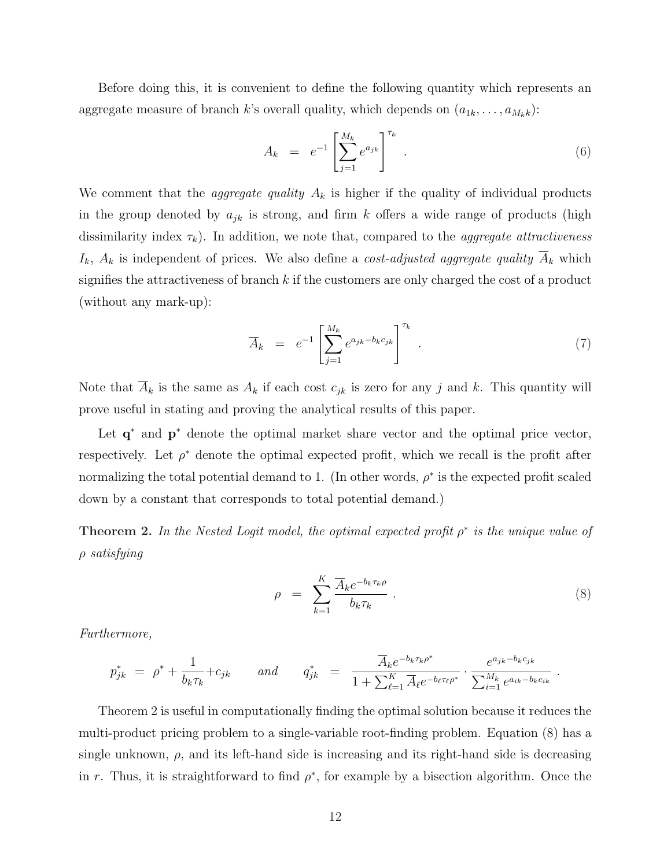Before doing this, it is convenient to define the following quantity which represents an aggregate measure of branch k's overall quality, which depends on  $(a_{1k}, \ldots, a_{M_kk})$ :

$$
A_k = e^{-1} \left[ \sum_{j=1}^{M_k} e^{a_{jk}} \right]^{\tau_k} . \tag{6}
$$

We comment that the *aggregate quality*  $A_k$  is higher if the quality of individual products in the group denoted by  $a_{jk}$  is strong, and firm k offers a wide range of products (high dissimilarity index  $\tau_k$ ). In addition, we note that, compared to the *aggregate attractiveness*  $I_k$ ,  $A_k$  is independent of prices. We also define a *cost-adjusted aggregate quality*  $\overline{A}_k$  which signifies the attractiveness of branch  $k$  if the customers are only charged the cost of a product (without any mark-up):

$$
\overline{A}_k = e^{-1} \left[ \sum_{j=1}^{M_k} e^{a_{jk} - b_k c_{jk}} \right]^{\tau_k} . \tag{7}
$$

Note that  $\overline{A}_k$  is the same as  $A_k$  if each cost  $c_{jk}$  is zero for any j and k. This quantity will prove useful in stating and proving the analytical results of this paper.

Let  $q^*$  and  $p^*$  denote the optimal market share vector and the optimal price vector, respectively. Let  $\rho^*$  denote the optimal expected profit, which we recall is the profit after normalizing the total potential demand to 1. (In other words,  $\rho^*$  is the expected profit scaled down by a constant that corresponds to total potential demand.)

**Theorem 2.** In the Nested Logit model, the optimal expected profit  $\rho^*$  is the unique value of ρ satisfying

$$
\rho = \sum_{k=1}^{K} \frac{\overline{A}_k e^{-b_k \tau_k \rho}}{b_k \tau_k} \,. \tag{8}
$$

.

Furthermore,

$$
p_{jk}^{*} = \rho^{*} + \frac{1}{b_{k}\tau_{k}} + c_{jk} \quad \text{and} \quad q_{jk}^{*} = \frac{\overline{A}_{k}e^{-b_{k}\tau_{k}\rho^{*}}}{1 + \sum_{\ell=1}^{K} \overline{A}_{\ell}e^{-b_{\ell}\tau_{\ell}\rho^{*}}} \cdot \frac{e^{a_{jk} - b_{k}c_{jk}}}{\sum_{i=1}^{M_{k}} e^{a_{ik} - b_{k}c_{ik}}}
$$

Theorem 2 is useful in computationally finding the optimal solution because it reduces the multi-product pricing problem to a single-variable root-finding problem. Equation (8) has a single unknown,  $\rho$ , and its left-hand side is increasing and its right-hand side is decreasing in r. Thus, it is straightforward to find  $\rho^*$ , for example by a bisection algorithm. Once the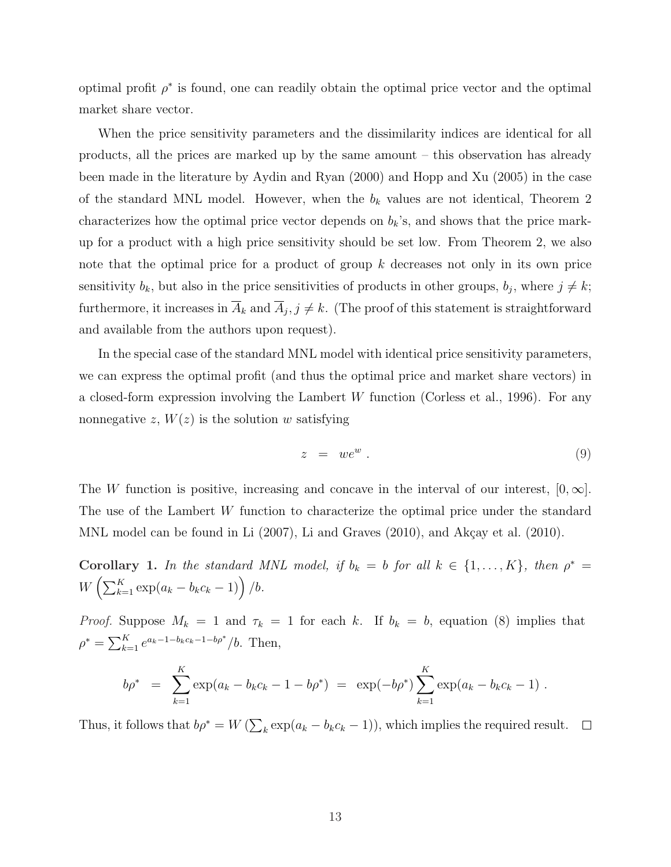optimal profit  $\rho^*$  is found, one can readily obtain the optimal price vector and the optimal market share vector.

When the price sensitivity parameters and the dissimilarity indices are identical for all products, all the prices are marked up by the same amount – this observation has already been made in the literature by Aydin and Ryan (2000) and Hopp and Xu (2005) in the case of the standard MNL model. However, when the  $b_k$  values are not identical, Theorem 2 characterizes how the optimal price vector depends on  $b_k$ 's, and shows that the price markup for a product with a high price sensitivity should be set low. From Theorem 2, we also note that the optimal price for a product of group k decreases not only in its own price sensitivity  $b_k$ , but also in the price sensitivities of products in other groups,  $b_j$ , where  $j \neq k$ ; furthermore, it increases in  $\overline{A}_k$  and  $\overline{A}_j$ ,  $j \neq k$ . (The proof of this statement is straightforward and available from the authors upon request).

In the special case of the standard MNL model with identical price sensitivity parameters, we can express the optimal profit (and thus the optimal price and market share vectors) in a closed-form expression involving the Lambert W function (Corless et al., 1996). For any nonnegative z,  $W(z)$  is the solution w satisfying

$$
z = we^w. \tag{9}
$$

The W function is positive, increasing and concave in the interval of our interest,  $[0, \infty]$ . The use of the Lambert W function to characterize the optimal price under the standard MNL model can be found in Li  $(2007)$ , Li and Graves  $(2010)$ , and Akçay et al.  $(2010)$ .

Corollary 1. In the standard MNL model, if  $b_k = b$  for all  $k \in \{1, ..., K\}$ , then  $\rho^* =$  $\mathcal{W}\left(\sum_{k=1}^K \exp(a_k - b_k c_k - 1)\right) / b.$ 

*Proof.* Suppose  $M_k = 1$  and  $\tau_k = 1$  for each k. If  $b_k = b$ , equation (8) implies that  $\rho^* = \sum_{k=1}^K$  $_{k=1}^{K}e^{a_k-1-b_kc_k-1-b\rho^*}/b.$  Then,

$$
b\rho^* = \sum_{k=1}^K \exp(a_k - b_k c_k - 1 - b\rho^*) = \exp(-b\rho^*) \sum_{k=1}^K \exp(a_k - b_k c_k - 1).
$$

Thus, it follows that  $b\rho^* = W(\sum)$  $k \exp(a_k - b_k c_k - 1)$ , which implies the required result.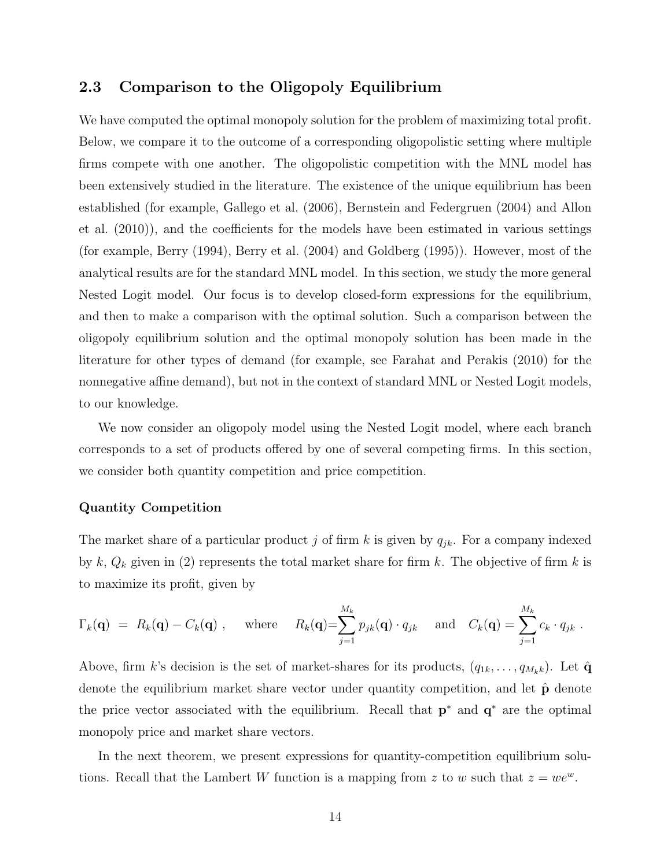### 2.3 Comparison to the Oligopoly Equilibrium

We have computed the optimal monopoly solution for the problem of maximizing total profit. Below, we compare it to the outcome of a corresponding oligopolistic setting where multiple firms compete with one another. The oligopolistic competition with the MNL model has been extensively studied in the literature. The existence of the unique equilibrium has been established (for example, Gallego et al. (2006), Bernstein and Federgruen (2004) and Allon et al. (2010)), and the coefficients for the models have been estimated in various settings (for example, Berry (1994), Berry et al. (2004) and Goldberg (1995)). However, most of the analytical results are for the standard MNL model. In this section, we study the more general Nested Logit model. Our focus is to develop closed-form expressions for the equilibrium, and then to make a comparison with the optimal solution. Such a comparison between the oligopoly equilibrium solution and the optimal monopoly solution has been made in the literature for other types of demand (for example, see Farahat and Perakis (2010) for the nonnegative affine demand), but not in the context of standard MNL or Nested Logit models, to our knowledge.

We now consider an oligopoly model using the Nested Logit model, where each branch corresponds to a set of products offered by one of several competing firms. In this section, we consider both quantity competition and price competition.

#### Quantity Competition

The market share of a particular product j of firm k is given by  $q_{jk}$ . For a company indexed by  $k, Q_k$  given in (2) represents the total market share for firm  $k$ . The objective of firm  $k$  is to maximize its profit, given by

$$
\Gamma_k(\mathbf{q}) = R_k(\mathbf{q}) - C_k(\mathbf{q})
$$
, where  $R_k(\mathbf{q}) = \sum_{j=1}^{M_k} p_{jk}(\mathbf{q}) \cdot q_{jk}$  and  $C_k(\mathbf{q}) = \sum_{j=1}^{M_k} c_k \cdot q_{jk}$ .

Above, firm k's decision is the set of market-shares for its products,  $(q_{1k}, \ldots, q_{M_kk})$ . Let  $\hat{\mathbf{q}}$ denote the equilibrium market share vector under quantity competition, and let  $\hat{p}$  denote the price vector associated with the equilibrium. Recall that  $p^*$  and  $q^*$  are the optimal monopoly price and market share vectors.

In the next theorem, we present expressions for quantity-competition equilibrium solutions. Recall that the Lambert W function is a mapping from z to w such that  $z = we^w$ .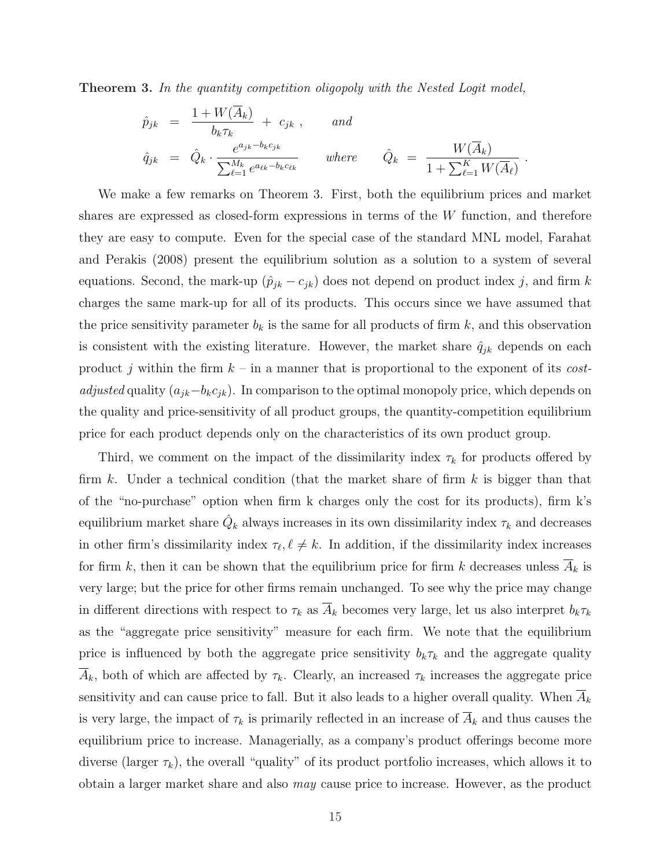Theorem 3. In the quantity competition oligopoly with the Nested Logit model,

$$
\hat{p}_{jk} = \frac{1 + W(\overline{A}_k)}{b_k \tau_k} + c_{jk}, \quad \text{and}
$$
\n
$$
\hat{q}_{jk} = \hat{Q}_k \cdot \frac{e^{a_{jk} - b_k c_{jk}}}{\sum_{\ell=1}^{M_k} e^{a_{\ell k} - b_k c_{\ell k}}} \quad \text{where} \quad \hat{Q}_k = \frac{W(\overline{A}_k)}{1 + \sum_{\ell=1}^{K} W(\overline{A}_\ell)}
$$

.

We make a few remarks on Theorem 3. First, both the equilibrium prices and market shares are expressed as closed-form expressions in terms of the W function, and therefore they are easy to compute. Even for the special case of the standard MNL model, Farahat and Perakis (2008) present the equilibrium solution as a solution to a system of several equations. Second, the mark-up  $(\hat{p}_{jk} - c_{jk})$  does not depend on product index j, and firm k charges the same mark-up for all of its products. This occurs since we have assumed that the price sensitivity parameter  $b_k$  is the same for all products of firm k, and this observation is consistent with the existing literature. However, the market share  $\hat{q}_{jk}$  depends on each product j within the firm  $k -$  in a manner that is proportional to the exponent of its costadjusted quality  $(a_{jk}-b_kc_{jk})$ . In comparison to the optimal monopoly price, which depends on the quality and price-sensitivity of all product groups, the quantity-competition equilibrium price for each product depends only on the characteristics of its own product group.

Third, we comment on the impact of the dissimilarity index  $\tau_k$  for products offered by firm  $k$ . Under a technical condition (that the market share of firm  $k$  is bigger than that of the "no-purchase" option when firm k charges only the cost for its products), firm k's equilibrium market share  $\hat{Q}_k$  always increases in its own dissimilarity index  $\tau_k$  and decreases in other firm's dissimilarity index  $\tau_{\ell}, \ell \neq k$ . In addition, if the dissimilarity index increases for firm k, then it can be shown that the equilibrium price for firm k decreases unless  $\overline{A}_k$  is very large; but the price for other firms remain unchanged. To see why the price may change in different directions with respect to  $\tau_k$  as  $\overline{A}_k$  becomes very large, let us also interpret  $b_k \tau_k$ as the "aggregate price sensitivity" measure for each firm. We note that the equilibrium price is influenced by both the aggregate price sensitivity  $b_k \tau_k$  and the aggregate quality  $A_k$ , both of which are affected by  $\tau_k$ . Clearly, an increased  $\tau_k$  increases the aggregate price sensitivity and can cause price to fall. But it also leads to a higher overall quality. When  $A_k$ is very large, the impact of  $\tau_k$  is primarily reflected in an increase of  $A_k$  and thus causes the equilibrium price to increase. Managerially, as a company's product offerings become more diverse (larger  $\tau_k$ ), the overall "quality" of its product portfolio increases, which allows it to obtain a larger market share and also may cause price to increase. However, as the product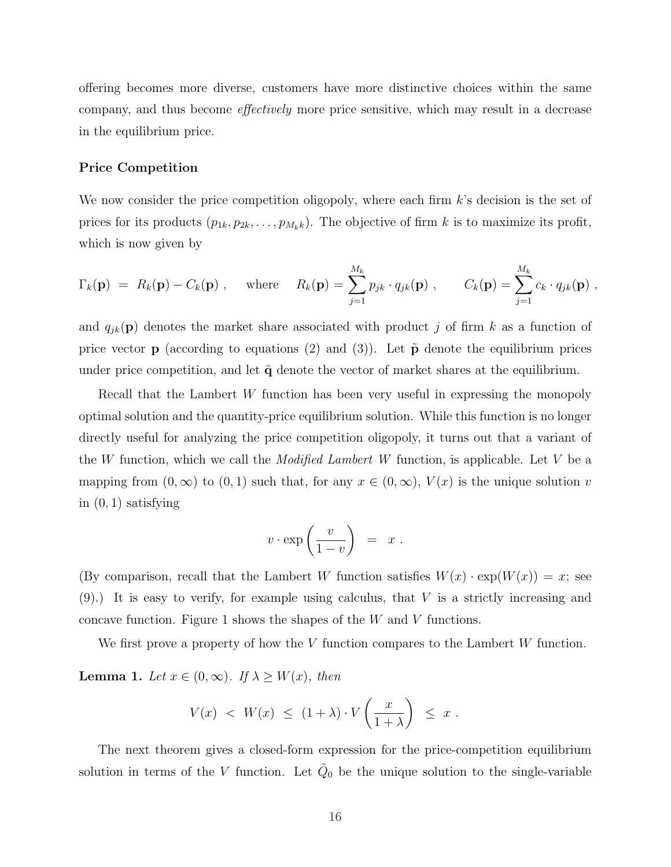offering becomes more diverse, customers have more distinctive choices within the same company, and thus become effectively more price sensitive, which may result in a decrease in the equilibrium price.

#### Price Competition

We now consider the price competition oligopoly, where each firm  $k$ 's decision is the set of prices for its products  $(p_{1k}, p_{2k}, \ldots, p_{M_kk})$ . The objective of firm k is to maximize its profit, which is now given by

$$
\Gamma_k(\mathbf{p}) = R_k(\mathbf{p}) - C_k(\mathbf{p}), \quad \text{where} \quad R_k(\mathbf{p}) = \sum_{j=1}^{M_k} p_{jk} \cdot q_{jk}(\mathbf{p}), \qquad C_k(\mathbf{p}) = \sum_{j=1}^{M_k} c_k \cdot q_{jk}(\mathbf{p}),
$$

and  $q_{ik}(\mathbf{p})$  denotes the market share associated with product j of firm k as a function of price vector **p** (according to equations (2) and (3)). Let  $\tilde{p}$  denote the equilibrium prices under price competition, and let  $\tilde{q}$  denote the vector of market shares at the equilibrium.

Recall that the Lambert W function has been very useful in expressing the monopoly optimal solution and the quantity-price equilibrium solution. While this function is no longer directly useful for analyzing the price competition oligopoly, it turns out that a variant of the W function, which we call the *Modified Lambert W* function, is applicable. Let V be a mapping from  $(0, \infty)$  to  $(0, 1)$  such that, for any  $x \in (0, \infty)$ ,  $V(x)$  is the unique solution v in  $(0, 1)$  satisfying

$$
v \cdot \exp\left(\frac{v}{1-v}\right) = x.
$$

(By comparison, recall that the Lambert W function satisfies  $W(x) \cdot \exp(W(x)) = x$ ; see  $(9)$ .) It is easy to verify, for example using calculus, that V is a strictly increasing and concave function. Figure 1 shows the shapes of the W and V functions.

We first prove a property of how the  $V$  function compares to the Lambert  $W$  function.

**Lemma 1.** Let  $x \in (0, \infty)$ . If  $\lambda \geq W(x)$ , then

$$
V(x) \ < \ W(x) \ \leq \ (1 + \lambda) \cdot V\left(\frac{x}{1 + \lambda}\right) \ \leq \ x \ .
$$

The next theorem gives a closed-form expression for the price-competition equilibrium solution in terms of the V function. Let  $\tilde{Q}_0$  be the unique solution to the single-variable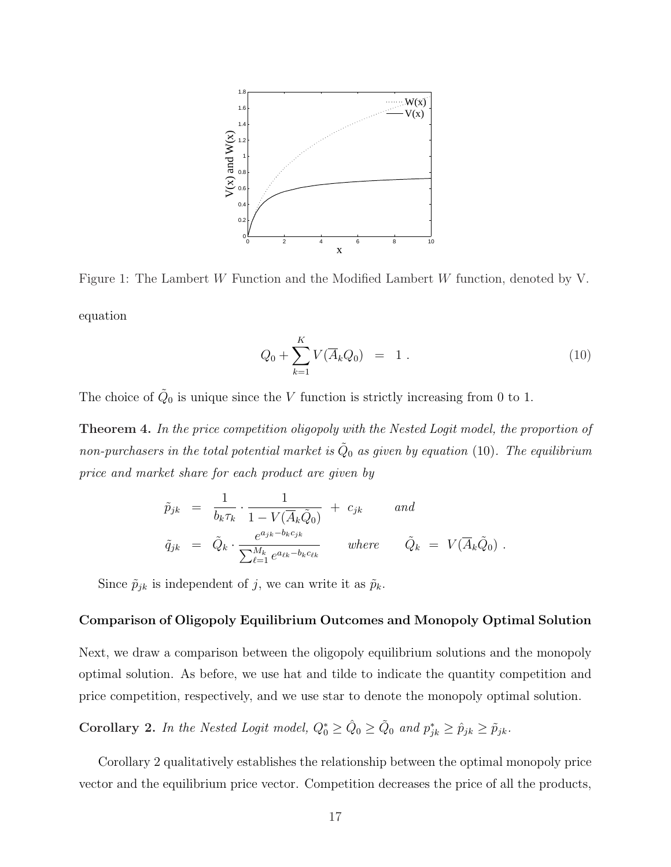

Figure 1: The Lambert W Function and the Modified Lambert W function, denoted by V. equation

$$
Q_0 + \sum_{k=1}^{K} V(\overline{A}_k Q_0) = 1.
$$
 (10)

The choice of  $\tilde{Q}_0$  is unique since the V function is strictly increasing from 0 to 1.

Theorem 4. In the price competition oligopoly with the Nested Logit model, the proportion of non-purchasers in the total potential market is  $\tilde{Q}_0$  as given by equation (10). The equilibrium price and market share for each product are given by

$$
\tilde{p}_{jk} = \frac{1}{b_k \tau_k} \cdot \frac{1}{1 - V(\overline{A}_k \tilde{Q}_0)} + c_{jk} \quad and
$$
\n
$$
\tilde{q}_{jk} = \tilde{Q}_k \cdot \frac{e^{a_{jk} - b_k c_{jk}}}{\sum_{\ell=1}^{M_k} e^{a_{\ell k} - b_k c_{\ell k}}} \quad where \quad \tilde{Q}_k = V(\overline{A}_k \tilde{Q}_0) .
$$

Since  $\tilde{p}_{jk}$  is independent of j, we can write it as  $\tilde{p}_k$ .

#### Comparison of Oligopoly Equilibrium Outcomes and Monopoly Optimal Solution

Next, we draw a comparison between the oligopoly equilibrium solutions and the monopoly optimal solution. As before, we use hat and tilde to indicate the quantity competition and price competition, respectively, and we use star to denote the monopoly optimal solution.

Corollary 2. In the Nested Logit model,  $Q_0^* \ge \hat{Q}_0 \ge \tilde{Q}_0$  and  $p_{jk}^* \ge \hat{p}_{jk} \ge \tilde{p}_{jk}$ .

Corollary 2 qualitatively establishes the relationship between the optimal monopoly price vector and the equilibrium price vector. Competition decreases the price of all the products,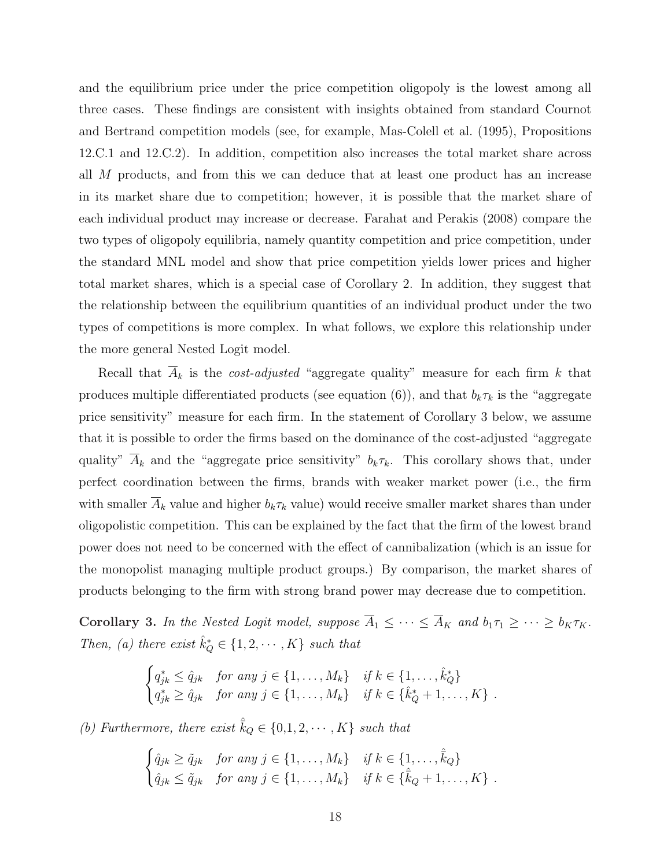and the equilibrium price under the price competition oligopoly is the lowest among all three cases. These findings are consistent with insights obtained from standard Cournot and Bertrand competition models (see, for example, Mas-Colell et al. (1995), Propositions 12.C.1 and 12.C.2). In addition, competition also increases the total market share across all M products, and from this we can deduce that at least one product has an increase in its market share due to competition; however, it is possible that the market share of each individual product may increase or decrease. Farahat and Perakis (2008) compare the two types of oligopoly equilibria, namely quantity competition and price competition, under the standard MNL model and show that price competition yields lower prices and higher total market shares, which is a special case of Corollary 2. In addition, they suggest that the relationship between the equilibrium quantities of an individual product under the two types of competitions is more complex. In what follows, we explore this relationship under the more general Nested Logit model.

Recall that  $A_k$  is the *cost-adjusted* "aggregate quality" measure for each firm k that produces multiple differentiated products (see equation (6)), and that  $b_k \tau_k$  is the "aggregate price sensitivity" measure for each firm. In the statement of Corollary 3 below, we assume that it is possible to order the firms based on the dominance of the cost-adjusted "aggregate quality"  $\overline{A}_k$  and the "aggregate price sensitivity"  $b_k \tau_k$ . This corollary shows that, under perfect coordination between the firms, brands with weaker market power (i.e., the firm with smaller  $A_k$  value and higher  $b_k \tau_k$  value) would receive smaller market shares than under oligopolistic competition. This can be explained by the fact that the firm of the lowest brand power does not need to be concerned with the effect of cannibalization (which is an issue for the monopolist managing multiple product groups.) By comparison, the market shares of products belonging to the firm with strong brand power may decrease due to competition.

Corollary 3. In the Nested Logit model, suppose  $\overline{A}_1 \leq \cdots \leq \overline{A}_K$  and  $b_1 \tau_1 \geq \cdots \geq b_K \tau_K$ . Then, (a) there exist  $\hat{k}_Q^* \in \{1, 2, \cdots, K\}$  such that

$$
\begin{cases} q_{jk}^* \leq \hat{q}_{jk} & \text{for any } j \in \{1, ..., M_k\} & \text{if } k \in \{1, ..., \hat{k}_Q^*\} \\ q_{jk}^* \geq \hat{q}_{jk} & \text{for any } j \in \{1, ..., M_k\} & \text{if } k \in \{\hat{k}_Q^* + 1, ..., K\} \end{cases}.
$$

(b) Furthermore, there exist  $\hat{\overline{k}}_Q \in \{0,1,2,\cdots,K\}$  such that

$$
\begin{cases} \hat{q}_{jk} \geq \tilde{q}_{jk} & \text{for any } j \in \{1, \dots, M_k\} & \text{if } k \in \{1, \dots, \hat{k}_Q\} \\ \hat{q}_{jk} \leq \tilde{q}_{jk} & \text{for any } j \in \{1, \dots, M_k\} & \text{if } k \in \{\hat{k}_Q + 1, \dots, K\} \end{cases}.
$$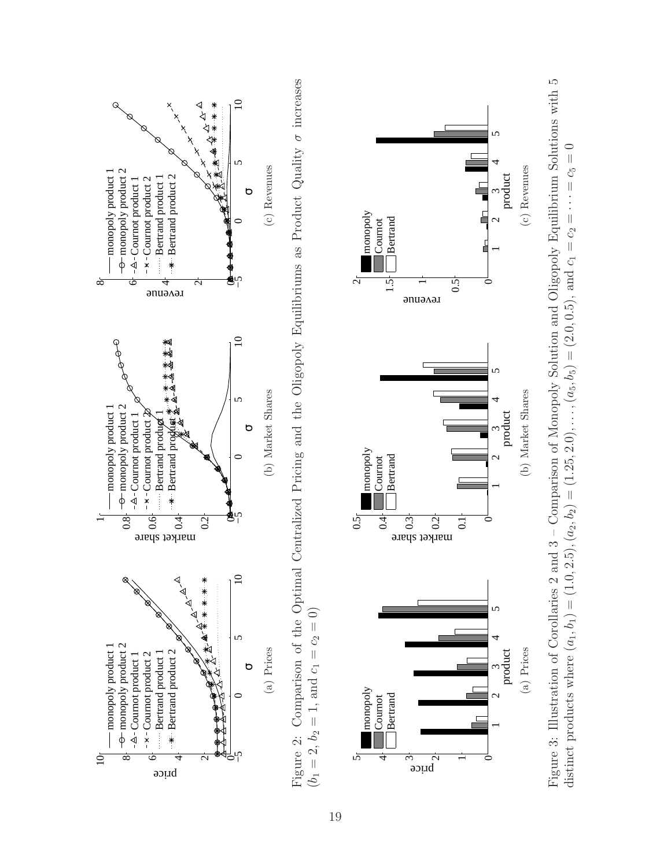

Comparison of the Optimal Centralized Pricing and the Oligopoly Equilibriums as Product Quality  $\sigma$  increases Figure 2: Comparison of the Optimal Centralized Pricing and the Oligopoly Equilibriums as Product Quality  $\sigma$  increases  $(b_1 = 2, b_2 = 1, \text{ and } c_1 = c_2 = 0)$  $(b_1 = 2, b_2 = 1, \text{ and } c_1 = c_2 = 0)$ Figure 2:



Figure 3: Illustration of Corollaries 2 and 3 – Comparison of Monopoly Solution and Oligopoly Equilibrium Solutions with 5 Figure 3: Illustration of Corollaries 2 and 3 - Comparison of Monopoly Solution and Oligopoly Equilibrium Solutions with 5 distinct products where  $(a_1, b_1) = (1.0, 2.5), (a_2, b_2) = (1.25, 2.0), \ldots, (a_5, b_5) = (2.0, 0.5),$  and  $c_1 = c_2 = \cdots = c_5 = 0$ distinct products where  $(a_1, b_1) = (1.0, 2.5), (a_2, b_2) = (1.25, 2.0), \ldots, (a_5, b_5) = (2.0, 0.5),$  and  $c_1 = c_2 = \cdots = c_5 = 0$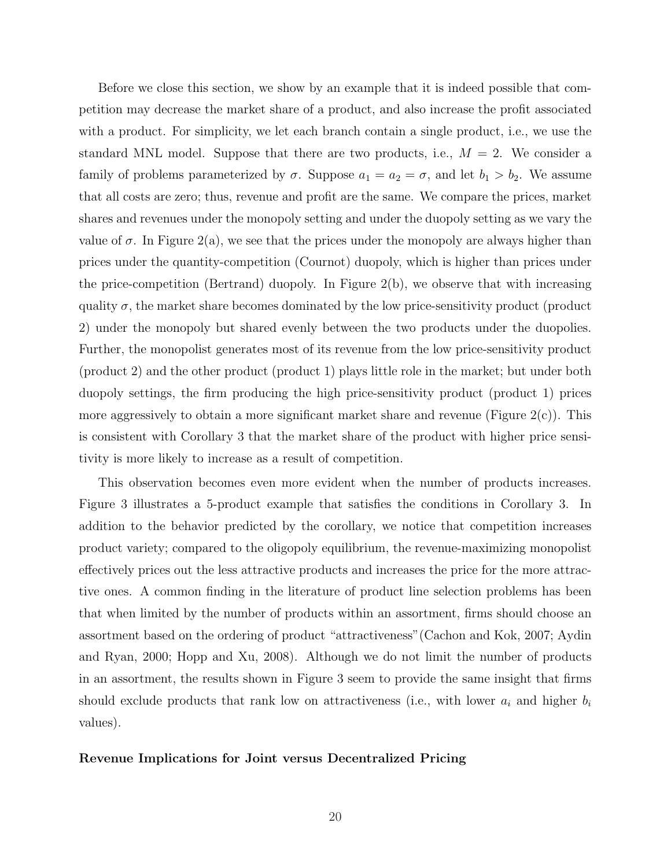Before we close this section, we show by an example that it is indeed possible that competition may decrease the market share of a product, and also increase the profit associated with a product. For simplicity, we let each branch contain a single product, i.e., we use the standard MNL model. Suppose that there are two products, i.e.,  $M = 2$ . We consider a family of problems parameterized by  $\sigma$ . Suppose  $a_1 = a_2 = \sigma$ , and let  $b_1 > b_2$ . We assume that all costs are zero; thus, revenue and profit are the same. We compare the prices, market shares and revenues under the monopoly setting and under the duopoly setting as we vary the value of  $\sigma$ . In Figure 2(a), we see that the prices under the monopoly are always higher than prices under the quantity-competition (Cournot) duopoly, which is higher than prices under the price-competition (Bertrand) duopoly. In Figure 2(b), we observe that with increasing quality  $\sigma$ , the market share becomes dominated by the low price-sensitivity product (product 2) under the monopoly but shared evenly between the two products under the duopolies. Further, the monopolist generates most of its revenue from the low price-sensitivity product (product 2) and the other product (product 1) plays little role in the market; but under both duopoly settings, the firm producing the high price-sensitivity product (product 1) prices more aggressively to obtain a more significant market share and revenue (Figure  $2(c)$ ). This is consistent with Corollary 3 that the market share of the product with higher price sensitivity is more likely to increase as a result of competition.

This observation becomes even more evident when the number of products increases. Figure 3 illustrates a 5-product example that satisfies the conditions in Corollary 3. In addition to the behavior predicted by the corollary, we notice that competition increases product variety; compared to the oligopoly equilibrium, the revenue-maximizing monopolist effectively prices out the less attractive products and increases the price for the more attractive ones. A common finding in the literature of product line selection problems has been that when limited by the number of products within an assortment, firms should choose an assortment based on the ordering of product "attractiveness"(Cachon and Kok, 2007; Aydin and Ryan, 2000; Hopp and Xu, 2008). Although we do not limit the number of products in an assortment, the results shown in Figure 3 seem to provide the same insight that firms should exclude products that rank low on attractiveness (i.e., with lower  $a_i$  and higher  $b_i$ values).

#### Revenue Implications for Joint versus Decentralized Pricing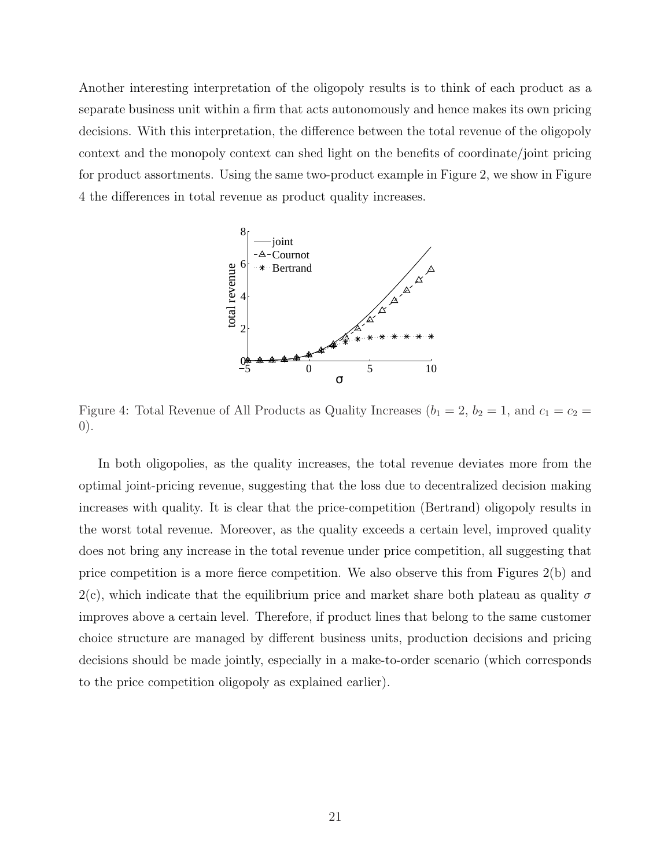Another interesting interpretation of the oligopoly results is to think of each product as a separate business unit within a firm that acts autonomously and hence makes its own pricing decisions. With this interpretation, the difference between the total revenue of the oligopoly context and the monopoly context can shed light on the benefits of coordinate/joint pricing for product assortments. Using the same two-product example in Figure 2, we show in Figure 4 the differences in total revenue as product quality increases.



Figure 4: Total Revenue of All Products as Quality Increases ( $b_1 = 2$ ,  $b_2 = 1$ , and  $c_1 = c_2 =$ 0).

In both oligopolies, as the quality increases, the total revenue deviates more from the optimal joint-pricing revenue, suggesting that the loss due to decentralized decision making increases with quality. It is clear that the price-competition (Bertrand) oligopoly results in the worst total revenue. Moreover, as the quality exceeds a certain level, improved quality does not bring any increase in the total revenue under price competition, all suggesting that price competition is a more fierce competition. We also observe this from Figures 2(b) and 2(c), which indicate that the equilibrium price and market share both plateau as quality  $\sigma$ improves above a certain level. Therefore, if product lines that belong to the same customer choice structure are managed by different business units, production decisions and pricing decisions should be made jointly, especially in a make-to-order scenario (which corresponds to the price competition oligopoly as explained earlier).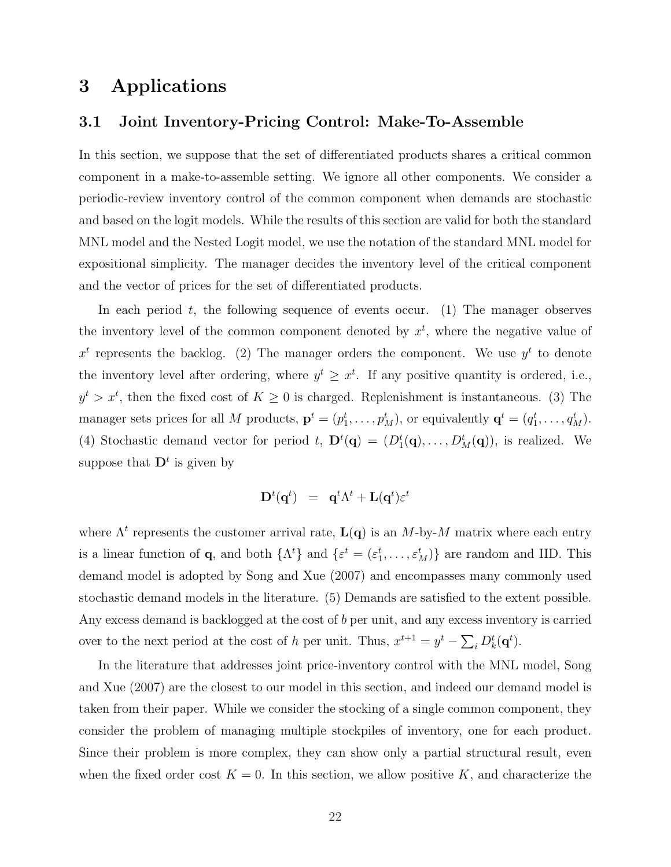# 3 Applications

#### 3.1 Joint Inventory-Pricing Control: Make-To-Assemble

In this section, we suppose that the set of differentiated products shares a critical common component in a make-to-assemble setting. We ignore all other components. We consider a periodic-review inventory control of the common component when demands are stochastic and based on the logit models. While the results of this section are valid for both the standard MNL model and the Nested Logit model, we use the notation of the standard MNL model for expositional simplicity. The manager decides the inventory level of the critical component and the vector of prices for the set of differentiated products.

In each period  $t$ , the following sequence of events occur. (1) The manager observes the inventory level of the common component denoted by  $x<sup>t</sup>$ , where the negative value of  $x^t$  represents the backlog. (2) The manager orders the component. We use  $y^t$  to denote the inventory level after ordering, where  $y^t \geq x^t$ . If any positive quantity is ordered, i.e.,  $y^t > x^t$ , then the fixed cost of  $K \geq 0$  is charged. Replenishment is instantaneous. (3) The manager sets prices for all M products,  $\mathbf{p}^t = (p_1^t, \dots, p_M^t)$ , or equivalently  $\mathbf{q}^t = (q_1^t, \dots, q_M^t)$ . (4) Stochastic demand vector for period t,  $\mathbf{D}^t(\mathbf{q}) = (D_1^t(\mathbf{q}), \dots, D_M^t(\mathbf{q}))$ , is realized. We suppose that  $D<sup>t</sup>$  is given by

$$
\mathbf{D}^t(\mathbf{q}^t) \;\; = \;\; \mathbf{q}^t \Lambda^t + \mathbf{L}(\mathbf{q}^t) \varepsilon^t
$$

where  $\Lambda^t$  represents the customer arrival rate,  $\mathbf{L}(\mathbf{q})$  is an M-by-M matrix where each entry is a linear function of **q**, and both  $\{\Lambda^t\}$  and  $\{\varepsilon^t = (\varepsilon_1^t, \ldots, \varepsilon_M^t)\}\)$  are random and IID. This demand model is adopted by Song and Xue (2007) and encompasses many commonly used stochastic demand models in the literature. (5) Demands are satisfied to the extent possible. Any excess demand is backlogged at the cost of b per unit, and any excess inventory is carried over to the next period at the cost of h per unit. Thus,  $x^{t+1} = y^t - \sum_i D_k^t(\mathbf{q}^t)$ .

In the literature that addresses joint price-inventory control with the MNL model, Song and Xue (2007) are the closest to our model in this section, and indeed our demand model is taken from their paper. While we consider the stocking of a single common component, they consider the problem of managing multiple stockpiles of inventory, one for each product. Since their problem is more complex, they can show only a partial structural result, even when the fixed order cost  $K = 0$ . In this section, we allow positive K, and characterize the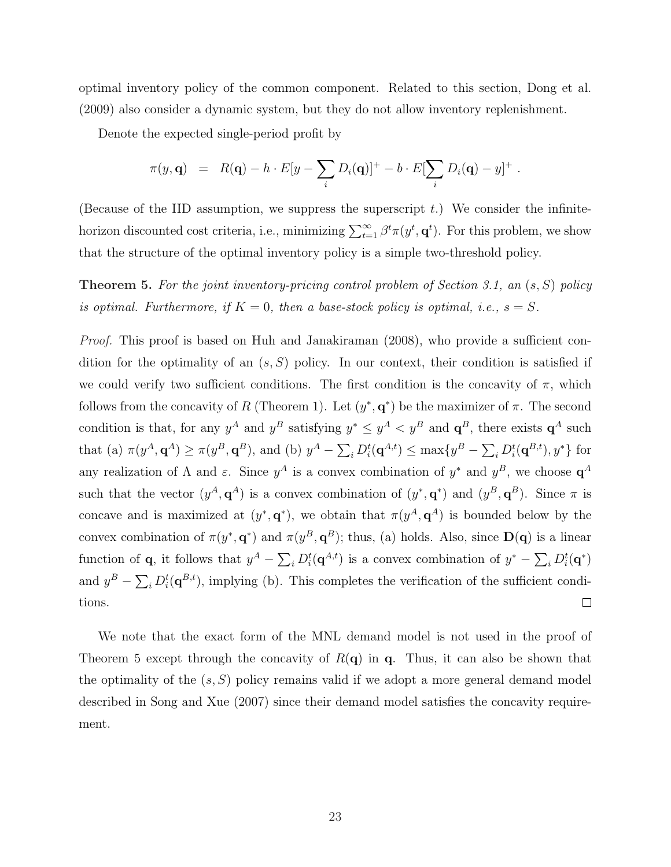optimal inventory policy of the common component. Related to this section, Dong et al. (2009) also consider a dynamic system, but they do not allow inventory replenishment.

Denote the expected single-period profit by

$$
\pi(y, \mathbf{q}) = R(\mathbf{q}) - h \cdot E[y - \sum_i D_i(\mathbf{q})]^+ - b \cdot E[\sum_i D_i(\mathbf{q}) - y]^+.
$$

(Because of the IID assumption, we suppress the superscript  $t$ .) We consider the infinitehorizon discounted cost criteria, i.e., minimizing  $\sum_{t=1}^{\infty} \beta^t \pi(y^t, \mathbf{q}^t)$ . For this problem, we show that the structure of the optimal inventory policy is a simple two-threshold policy.

**Theorem 5.** For the joint inventory-pricing control problem of Section 3.1, an  $(s, S)$  policy is optimal. Furthermore, if  $K = 0$ , then a base-stock policy is optimal, i.e.,  $s = S$ .

Proof. This proof is based on Huh and Janakiraman (2008), who provide a sufficient condition for the optimality of an  $(s, S)$  policy. In our context, their condition is satisfied if we could verify two sufficient conditions. The first condition is the concavity of  $\pi$ , which follows from the concavity of R (Theorem 1). Let  $(y^*, q^*)$  be the maximizer of  $\pi$ . The second condition is that, for any  $y^A$  and  $y^B$  satisfying  $y^* \leq y^A < y^B$  and  $\mathbf{q}^B$ , there exists  $\mathbf{q}^A$  such that (a)  $\pi(y^A, \mathbf{q}^A) \ge \pi(y^B, \mathbf{q}^B)$ , and (b)  $y^A - \sum_i D_i^t(\mathbf{q}^{A,t}) \le \max\{y^B - \sum_i D_i^t(\mathbf{q}^{B,t}), y^*\}$  for any realization of  $\Lambda$  and  $\varepsilon$ . Since  $y^A$  is a convex combination of  $y^*$  and  $y^B$ , we choose  $\mathbf{q}^A$ such that the vector  $(y^A, \mathbf{q}^A)$  is a convex combination of  $(y^*, \mathbf{q}^*)$  and  $(y^B, \mathbf{q}^B)$ . Since  $\pi$  is concave and is maximized at  $(y^*, \mathbf{q}^*)$ , we obtain that  $\pi(y^A, \mathbf{q}^A)$  is bounded below by the convex combination of  $\pi(y^*, \mathbf{q}^*)$  and  $\pi(y^B, \mathbf{q}^B)$ ; thus, (a) holds. Also, since  $\mathbf{D}(\mathbf{q})$  is a linear function of **q**, it follows that  $y^A - \sum_i D_i^t(\mathbf{q}^{A,t})$  is a convex combination of  $y^* - \sum_i D_i^t(\mathbf{q}^*)$ and  $y^B - \sum_i D_i^t(\mathbf{q}^{B,t})$ , implying (b). This completes the verification of the sufficient condi- $\Box$ tions.

We note that the exact form of the MNL demand model is not used in the proof of Theorem 5 except through the concavity of  $R(\mathbf{q})$  in q. Thus, it can also be shown that the optimality of the  $(s, S)$  policy remains valid if we adopt a more general demand model described in Song and Xue (2007) since their demand model satisfies the concavity requirement.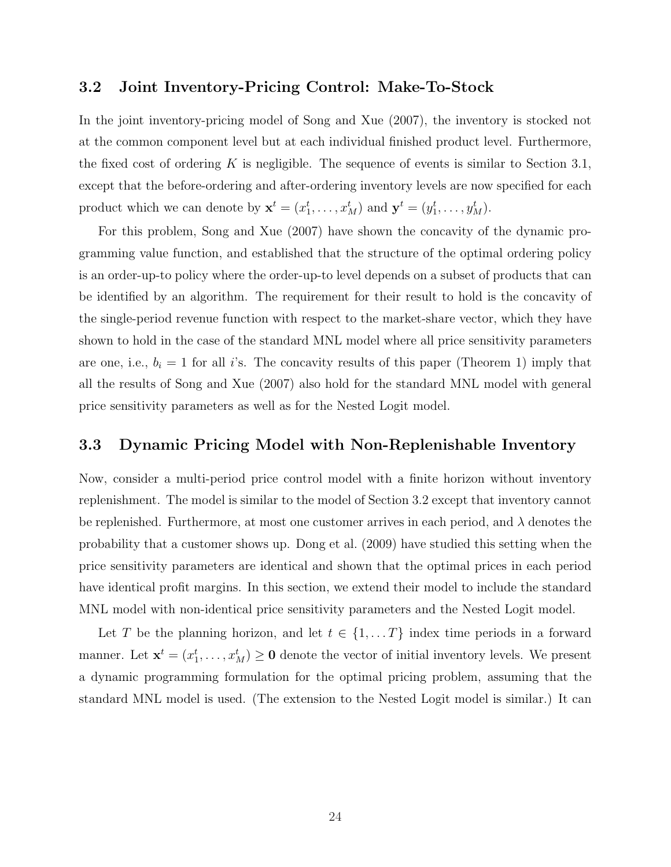#### 3.2 Joint Inventory-Pricing Control: Make-To-Stock

In the joint inventory-pricing model of Song and Xue (2007), the inventory is stocked not at the common component level but at each individual finished product level. Furthermore, the fixed cost of ordering K is negligible. The sequence of events is similar to Section 3.1, except that the before-ordering and after-ordering inventory levels are now specified for each product which we can denote by  $\mathbf{x}^t = (x_1^t, \dots, x_M^t)$  and  $\mathbf{y}^t = (y_1^t, \dots, y_M^t)$ .

For this problem, Song and Xue (2007) have shown the concavity of the dynamic programming value function, and established that the structure of the optimal ordering policy is an order-up-to policy where the order-up-to level depends on a subset of products that can be identified by an algorithm. The requirement for their result to hold is the concavity of the single-period revenue function with respect to the market-share vector, which they have shown to hold in the case of the standard MNL model where all price sensitivity parameters are one, i.e.,  $b_i = 1$  for all i's. The concavity results of this paper (Theorem 1) imply that all the results of Song and Xue (2007) also hold for the standard MNL model with general price sensitivity parameters as well as for the Nested Logit model.

### 3.3 Dynamic Pricing Model with Non-Replenishable Inventory

Now, consider a multi-period price control model with a finite horizon without inventory replenishment. The model is similar to the model of Section 3.2 except that inventory cannot be replenished. Furthermore, at most one customer arrives in each period, and  $\lambda$  denotes the probability that a customer shows up. Dong et al. (2009) have studied this setting when the price sensitivity parameters are identical and shown that the optimal prices in each period have identical profit margins. In this section, we extend their model to include the standard MNL model with non-identical price sensitivity parameters and the Nested Logit model.

Let T be the planning horizon, and let  $t \in \{1, ..., T\}$  index time periods in a forward manner. Let  $\mathbf{x}^t = (x_1^t, \dots, x_M^t) \geq \mathbf{0}$  denote the vector of initial inventory levels. We present a dynamic programming formulation for the optimal pricing problem, assuming that the standard MNL model is used. (The extension to the Nested Logit model is similar.) It can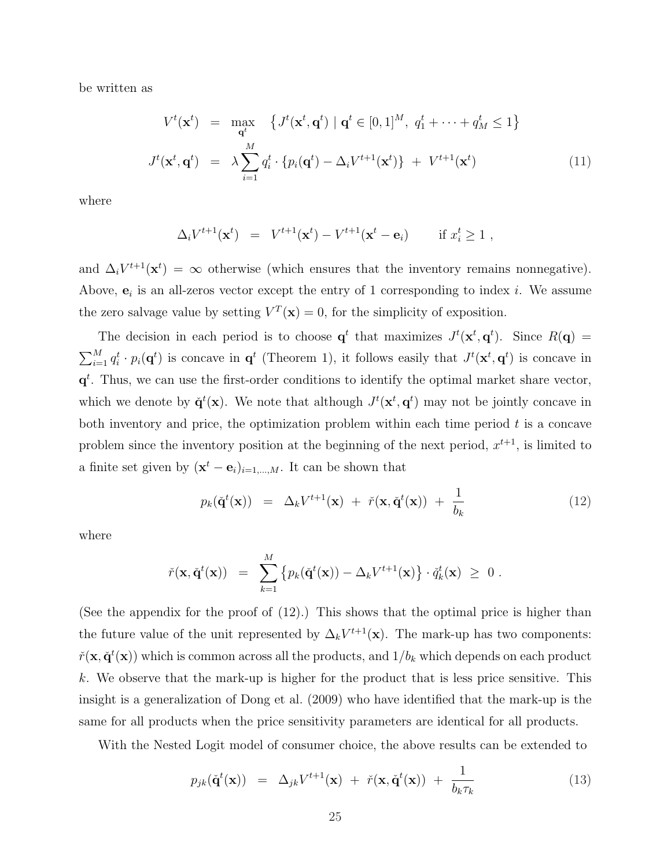be written as

$$
V^{t}(\mathbf{x}^{t}) = \max_{\mathbf{q}^{t}} \left\{ J^{t}(\mathbf{x}^{t}, \mathbf{q}^{t}) \mid \mathbf{q}^{t} \in [0, 1]^{M}, q_{1}^{t} + \dots + q_{M}^{t} \le 1 \right\}
$$

$$
J^{t}(\mathbf{x}^{t}, \mathbf{q}^{t}) = \lambda \sum_{i=1}^{M} q_{i}^{t} \cdot \left\{ p_{i}(\mathbf{q}^{t}) - \Delta_{i} V^{t+1}(\mathbf{x}^{t}) \right\} + V^{t+1}(\mathbf{x}^{t}) \qquad (11)
$$

where

$$
\Delta_i V^{t+1}(\mathbf{x}^t) = V^{t+1}(\mathbf{x}^t) - V^{t+1}(\mathbf{x}^t - \mathbf{e}_i) \quad \text{if } x_i^t \ge 1,
$$

and  $\Delta_i V^{t+1}(\mathbf{x}^t) = \infty$  otherwise (which ensures that the inventory remains nonnegative). Above,  $e_i$  is an all-zeros vector except the entry of 1 corresponding to index *i*. We assume the zero salvage value by setting  $V^T(\mathbf{x}) = 0$ , for the simplicity of exposition.

The decision in each period is to choose  $q^t$  that maximizes  $J^t(\mathbf{x}^t, \mathbf{q}^t)$ . Since  $R(\mathbf{q}) =$  $\bigtriangledown M$  $_{i=1}^M q_i^t \cdot p_i(q^t)$  is concave in  $q^t$  (Theorem 1), it follows easily that  $J^t(\mathbf{x}^t, \mathbf{q}^t)$  is concave in  $q<sup>t</sup>$ . Thus, we can use the first-order conditions to identify the optimal market share vector, which we denote by  $\check{\mathbf{q}}^t(\mathbf{x})$ . We note that although  $J^t(\mathbf{x}^t, \mathbf{q}^t)$  may not be jointly concave in both inventory and price, the optimization problem within each time period  $t$  is a concave problem since the inventory position at the beginning of the next period,  $x^{t+1}$ , is limited to a finite set given by  $(\mathbf{x}^t - \mathbf{e}_i)_{i=1,\dots,M}$ . It can be shown that

$$
p_k(\check{\mathbf{q}}^t(\mathbf{x})) = \Delta_k V^{t+1}(\mathbf{x}) + \check{r}(\mathbf{x}, \check{\mathbf{q}}^t(\mathbf{x})) + \frac{1}{b_k}
$$
(12)

where

$$
\check{r}(\mathbf{x},\check{\mathbf{q}}^t(\mathbf{x})) = \sum_{k=1}^M \left\{ p_k(\check{\mathbf{q}}^t(\mathbf{x})) - \Delta_k V^{t+1}(\mathbf{x}) \right\} \cdot \check{q}_k^t(\mathbf{x}) \geq 0.
$$

(See the appendix for the proof of (12).) This shows that the optimal price is higher than the future value of the unit represented by  $\Delta_k V^{t+1}(\mathbf{x})$ . The mark-up has two components:  $\check{r}(\mathbf{x},\check{\mathbf{q}}^t(\mathbf{x}))$  which is common across all the products, and  $1/b_k$  which depends on each product k. We observe that the mark-up is higher for the product that is less price sensitive. This insight is a generalization of Dong et al. (2009) who have identified that the mark-up is the same for all products when the price sensitivity parameters are identical for all products.

With the Nested Logit model of consumer choice, the above results can be extended to

$$
p_{jk}(\check{\mathbf{q}}^t(\mathbf{x})) = \Delta_{jk} V^{t+1}(\mathbf{x}) + \check{r}(\mathbf{x}, \check{\mathbf{q}}^t(\mathbf{x})) + \frac{1}{b_k \tau_k}
$$
(13)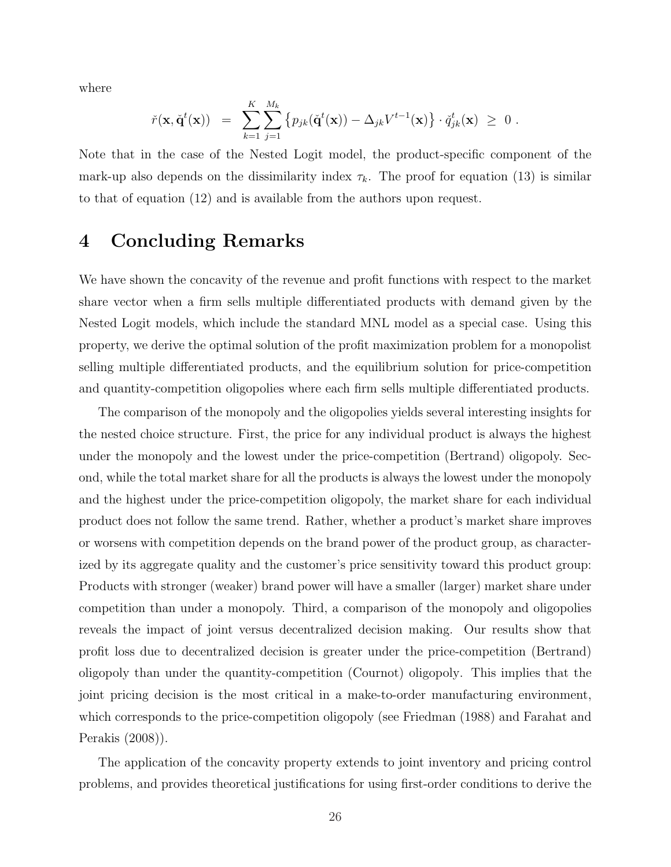where

$$
\check{r}(\mathbf{x}, \check{\mathbf{q}}^t(\mathbf{x})) = \sum_{k=1}^K \sum_{j=1}^{M_k} \left\{ p_{jk}(\check{\mathbf{q}}^t(\mathbf{x})) - \Delta_{jk} V^{t-1}(\mathbf{x}) \right\} \cdot \check{q}_{jk}^t(\mathbf{x}) \geq 0.
$$

Note that in the case of the Nested Logit model, the product-specific component of the mark-up also depends on the dissimilarity index  $\tau_k$ . The proof for equation (13) is similar to that of equation (12) and is available from the authors upon request.

# 4 Concluding Remarks

We have shown the concavity of the revenue and profit functions with respect to the market share vector when a firm sells multiple differentiated products with demand given by the Nested Logit models, which include the standard MNL model as a special case. Using this property, we derive the optimal solution of the profit maximization problem for a monopolist selling multiple differentiated products, and the equilibrium solution for price-competition and quantity-competition oligopolies where each firm sells multiple differentiated products.

The comparison of the monopoly and the oligopolies yields several interesting insights for the nested choice structure. First, the price for any individual product is always the highest under the monopoly and the lowest under the price-competition (Bertrand) oligopoly. Second, while the total market share for all the products is always the lowest under the monopoly and the highest under the price-competition oligopoly, the market share for each individual product does not follow the same trend. Rather, whether a product's market share improves or worsens with competition depends on the brand power of the product group, as characterized by its aggregate quality and the customer's price sensitivity toward this product group: Products with stronger (weaker) brand power will have a smaller (larger) market share under competition than under a monopoly. Third, a comparison of the monopoly and oligopolies reveals the impact of joint versus decentralized decision making. Our results show that profit loss due to decentralized decision is greater under the price-competition (Bertrand) oligopoly than under the quantity-competition (Cournot) oligopoly. This implies that the joint pricing decision is the most critical in a make-to-order manufacturing environment, which corresponds to the price-competition oligopoly (see Friedman (1988) and Farahat and Perakis (2008)).

The application of the concavity property extends to joint inventory and pricing control problems, and provides theoretical justifications for using first-order conditions to derive the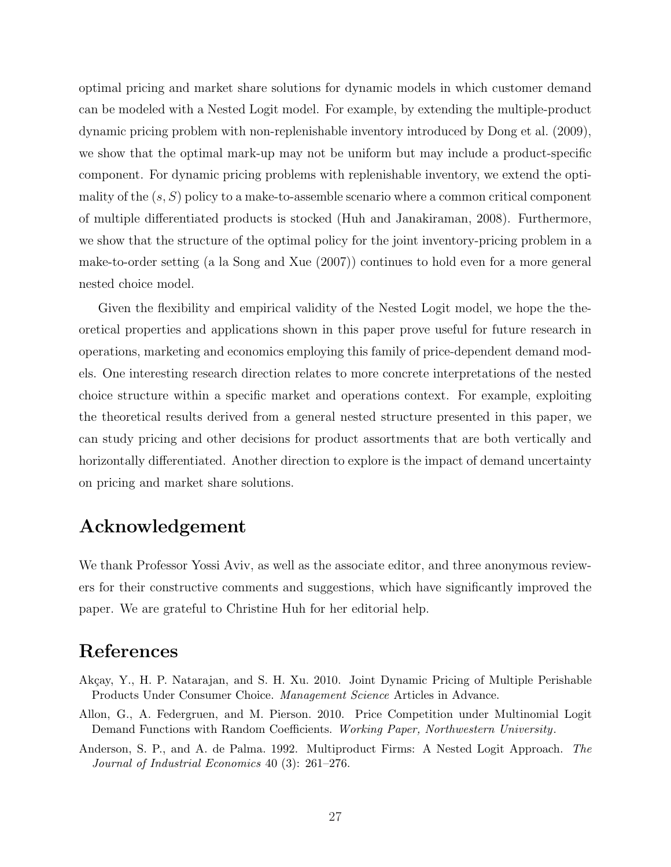optimal pricing and market share solutions for dynamic models in which customer demand can be modeled with a Nested Logit model. For example, by extending the multiple-product dynamic pricing problem with non-replenishable inventory introduced by Dong et al. (2009), we show that the optimal mark-up may not be uniform but may include a product-specific component. For dynamic pricing problems with replenishable inventory, we extend the optimality of the  $(s, S)$  policy to a make-to-assemble scenario where a common critical component of multiple differentiated products is stocked (Huh and Janakiraman, 2008). Furthermore, we show that the structure of the optimal policy for the joint inventory-pricing problem in a make-to-order setting (a la Song and Xue (2007)) continues to hold even for a more general nested choice model.

Given the flexibility and empirical validity of the Nested Logit model, we hope the theoretical properties and applications shown in this paper prove useful for future research in operations, marketing and economics employing this family of price-dependent demand models. One interesting research direction relates to more concrete interpretations of the nested choice structure within a specific market and operations context. For example, exploiting the theoretical results derived from a general nested structure presented in this paper, we can study pricing and other decisions for product assortments that are both vertically and horizontally differentiated. Another direction to explore is the impact of demand uncertainty on pricing and market share solutions.

## Acknowledgement

We thank Professor Yossi Aviv, as well as the associate editor, and three anonymous reviewers for their constructive comments and suggestions, which have significantly improved the paper. We are grateful to Christine Huh for her editorial help.

# References

- Akçay, Y., H. P. Natarajan, and S. H. Xu. 2010. Joint Dynamic Pricing of Multiple Perishable Products Under Consumer Choice. Management Science Articles in Advance.
- Allon, G., A. Federgruen, and M. Pierson. 2010. Price Competition under Multinomial Logit Demand Functions with Random Coefficients. Working Paper, Northwestern University.
- Anderson, S. P., and A. de Palma. 1992. Multiproduct Firms: A Nested Logit Approach. The Journal of Industrial Economics 40 (3): 261–276.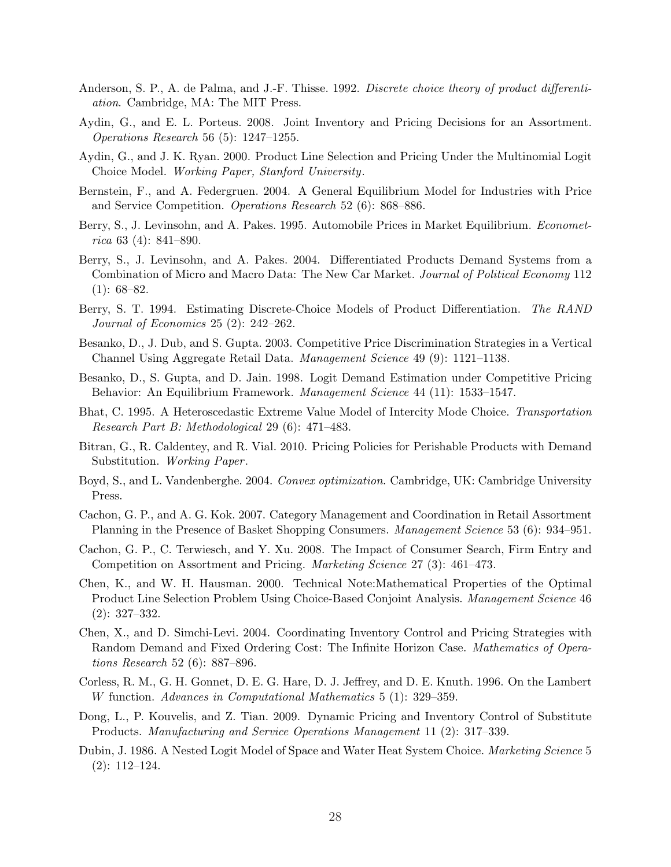- Anderson, S. P., A. de Palma, and J.-F. Thisse. 1992. Discrete choice theory of product differentiation. Cambridge, MA: The MIT Press.
- Aydin, G., and E. L. Porteus. 2008. Joint Inventory and Pricing Decisions for an Assortment. Operations Research 56 (5): 1247–1255.
- Aydin, G., and J. K. Ryan. 2000. Product Line Selection and Pricing Under the Multinomial Logit Choice Model. Working Paper, Stanford University.
- Bernstein, F., and A. Federgruen. 2004. A General Equilibrium Model for Industries with Price and Service Competition. Operations Research 52 (6): 868–886.
- Berry, S., J. Levinsohn, and A. Pakes. 1995. Automobile Prices in Market Equilibrium. Econometrica 63 (4): 841–890.
- Berry, S., J. Levinsohn, and A. Pakes. 2004. Differentiated Products Demand Systems from a Combination of Micro and Macro Data: The New Car Market. Journal of Political Economy 112  $(1): 68 - 82.$
- Berry, S. T. 1994. Estimating Discrete-Choice Models of Product Differentiation. The RAND Journal of Economics 25 (2): 242–262.
- Besanko, D., J. Dub, and S. Gupta. 2003. Competitive Price Discrimination Strategies in a Vertical Channel Using Aggregate Retail Data. Management Science 49 (9): 1121–1138.
- Besanko, D., S. Gupta, and D. Jain. 1998. Logit Demand Estimation under Competitive Pricing Behavior: An Equilibrium Framework. Management Science 44 (11): 1533–1547.
- Bhat, C. 1995. A Heteroscedastic Extreme Value Model of Intercity Mode Choice. Transportation Research Part B: Methodological 29 (6): 471–483.
- Bitran, G., R. Caldentey, and R. Vial. 2010. Pricing Policies for Perishable Products with Demand Substitution. Working Paper.
- Boyd, S., and L. Vandenberghe. 2004. Convex optimization. Cambridge, UK: Cambridge University Press.
- Cachon, G. P., and A. G. Kok. 2007. Category Management and Coordination in Retail Assortment Planning in the Presence of Basket Shopping Consumers. Management Science 53 (6): 934–951.
- Cachon, G. P., C. Terwiesch, and Y. Xu. 2008. The Impact of Consumer Search, Firm Entry and Competition on Assortment and Pricing. Marketing Science 27 (3): 461–473.
- Chen, K., and W. H. Hausman. 2000. Technical Note:Mathematical Properties of the Optimal Product Line Selection Problem Using Choice-Based Conjoint Analysis. Management Science 46 (2): 327–332.
- Chen, X., and D. Simchi-Levi. 2004. Coordinating Inventory Control and Pricing Strategies with Random Demand and Fixed Ordering Cost: The Infinite Horizon Case. Mathematics of Operations Research 52 (6): 887–896.
- Corless, R. M., G. H. Gonnet, D. E. G. Hare, D. J. Jeffrey, and D. E. Knuth. 1996. On the Lambert W function. Advances in Computational Mathematics 5 (1): 329–359.
- Dong, L., P. Kouvelis, and Z. Tian. 2009. Dynamic Pricing and Inventory Control of Substitute Products. Manufacturing and Service Operations Management 11 (2): 317–339.
- Dubin, J. 1986. A Nested Logit Model of Space and Water Heat System Choice. Marketing Science 5 (2): 112–124.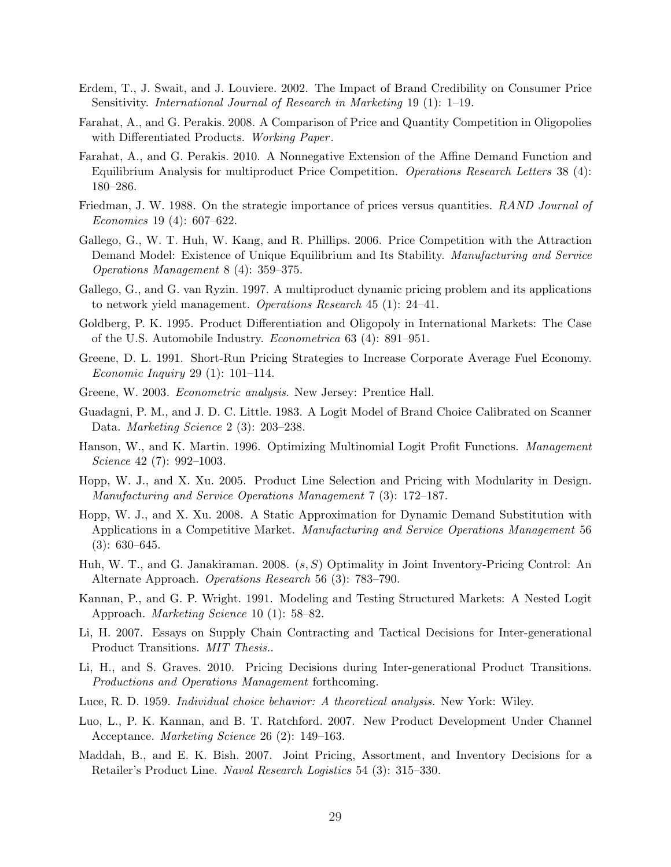- Erdem, T., J. Swait, and J. Louviere. 2002. The Impact of Brand Credibility on Consumer Price Sensitivity. International Journal of Research in Marketing 19 (1): 1–19.
- Farahat, A., and G. Perakis. 2008. A Comparison of Price and Quantity Competition in Oligopolies with Differentiated Products. Working Paper.
- Farahat, A., and G. Perakis. 2010. A Nonnegative Extension of the Affine Demand Function and Equilibrium Analysis for multiproduct Price Competition. Operations Research Letters 38 (4): 180–286.
- Friedman, J. W. 1988. On the strategic importance of prices versus quantities. RAND Journal of Economics 19 (4): 607–622.
- Gallego, G., W. T. Huh, W. Kang, and R. Phillips. 2006. Price Competition with the Attraction Demand Model: Existence of Unique Equilibrium and Its Stability. Manufacturing and Service Operations Management 8 (4): 359–375.
- Gallego, G., and G. van Ryzin. 1997. A multiproduct dynamic pricing problem and its applications to network yield management. Operations Research 45 (1): 24–41.
- Goldberg, P. K. 1995. Product Differentiation and Oligopoly in International Markets: The Case of the U.S. Automobile Industry. Econometrica 63 (4): 891–951.
- Greene, D. L. 1991. Short-Run Pricing Strategies to Increase Corporate Average Fuel Economy. Economic Inquiry 29 (1): 101–114.
- Greene, W. 2003. Econometric analysis. New Jersey: Prentice Hall.
- Guadagni, P. M., and J. D. C. Little. 1983. A Logit Model of Brand Choice Calibrated on Scanner Data. Marketing Science 2 (3): 203–238.
- Hanson, W., and K. Martin. 1996. Optimizing Multinomial Logit Profit Functions. Management Science 42 (7): 992–1003.
- Hopp, W. J., and X. Xu. 2005. Product Line Selection and Pricing with Modularity in Design. Manufacturing and Service Operations Management 7 (3): 172–187.
- Hopp, W. J., and X. Xu. 2008. A Static Approximation for Dynamic Demand Substitution with Applications in a Competitive Market. Manufacturing and Service Operations Management 56 (3): 630–645.
- Huh, W. T., and G. Janakiraman. 2008. (s, S) Optimality in Joint Inventory-Pricing Control: An Alternate Approach. Operations Research 56 (3): 783–790.
- Kannan, P., and G. P. Wright. 1991. Modeling and Testing Structured Markets: A Nested Logit Approach. Marketing Science 10 (1): 58–82.
- Li, H. 2007. Essays on Supply Chain Contracting and Tactical Decisions for Inter-generational Product Transitions. MIT Thesis..
- Li, H., and S. Graves. 2010. Pricing Decisions during Inter-generational Product Transitions. Productions and Operations Management forthcoming.
- Luce, R. D. 1959. Individual choice behavior: A theoretical analysis. New York: Wiley.
- Luo, L., P. K. Kannan, and B. T. Ratchford. 2007. New Product Development Under Channel Acceptance. Marketing Science 26 (2): 149–163.
- Maddah, B., and E. K. Bish. 2007. Joint Pricing, Assortment, and Inventory Decisions for a Retailer's Product Line. Naval Research Logistics 54 (3): 315–330.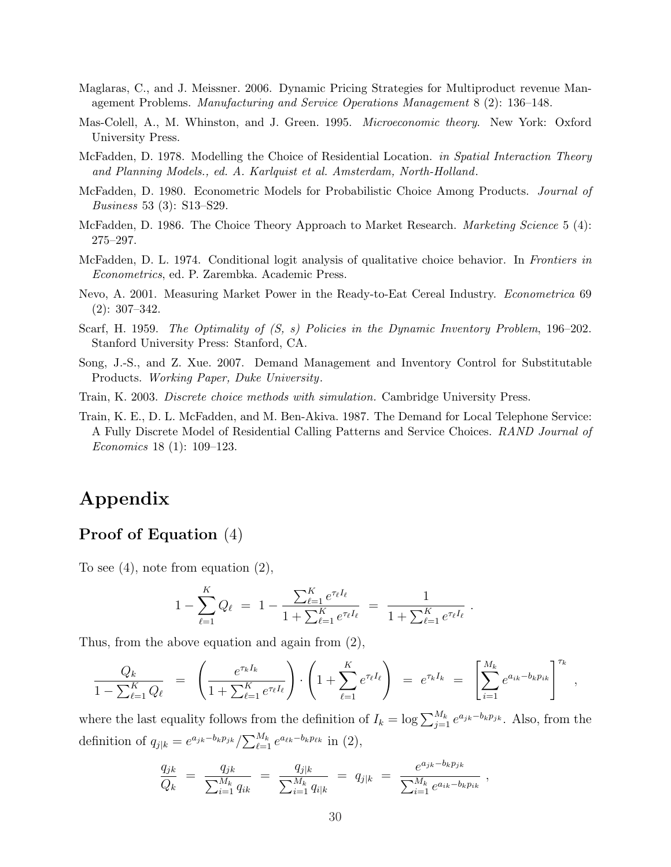- Maglaras, C., and J. Meissner. 2006. Dynamic Pricing Strategies for Multiproduct revenue Management Problems. Manufacturing and Service Operations Management 8 (2): 136–148.
- Mas-Colell, A., M. Whinston, and J. Green. 1995. Microeconomic theory. New York: Oxford University Press.
- McFadden, D. 1978. Modelling the Choice of Residential Location. *in Spatial Interaction Theory* and Planning Models., ed. A. Karlquist et al. Amsterdam, North-Holland.
- McFadden, D. 1980. Econometric Models for Probabilistic Choice Among Products. Journal of Business 53 (3): S13–S29.
- McFadden, D. 1986. The Choice Theory Approach to Market Research. *Marketing Science* 5 (4): 275–297.
- McFadden, D. L. 1974. Conditional logit analysis of qualitative choice behavior. In Frontiers in Econometrics, ed. P. Zarembka. Academic Press.
- Nevo, A. 2001. Measuring Market Power in the Ready-to-Eat Cereal Industry. Econometrica 69 (2): 307–342.
- Scarf, H. 1959. The Optimality of  $(S, s)$  Policies in the Dynamic Inventory Problem, 196–202. Stanford University Press: Stanford, CA.
- Song, J.-S., and Z. Xue. 2007. Demand Management and Inventory Control for Substitutable Products. Working Paper, Duke University.
- Train, K. 2003. Discrete choice methods with simulation. Cambridge University Press.
- Train, K. E., D. L. McFadden, and M. Ben-Akiva. 1987. The Demand for Local Telephone Service: A Fully Discrete Model of Residential Calling Patterns and Service Choices. RAND Journal of Economics 18 (1): 109–123.

# Appendix

### Proof of Equation (4)

To see (4), note from equation (2),

$$
1 - \sum_{\ell=1}^{K} Q_{\ell} = 1 - \frac{\sum_{\ell=1}^{K} e^{\tau_{\ell} I_{\ell}}}{1 + \sum_{\ell=1}^{K} e^{\tau_{\ell} I_{\ell}}} = \frac{1}{1 + \sum_{\ell=1}^{K} e^{\tau_{\ell} I_{\ell}}}.
$$

Thus, from the above equation and again from (2),

$$
\frac{Q_k}{1 - \sum_{\ell=1}^K Q_\ell} = \left( \frac{e^{\tau_k I_k}}{1 + \sum_{\ell=1}^K e^{\tau_\ell I_\ell}} \right) \cdot \left( 1 + \sum_{\ell=1}^K e^{\tau_\ell I_\ell} \right) = e^{\tau_k I_k} = \left[ \sum_{i=1}^{M_k} e^{a_{ik} - b_k p_{ik}} \right]^{\tau_k},
$$

where the last equality follows from the definition of  $I_k = \log \sum_{j=1}^{M_k} e^{a_{jk} - b_k p_{jk}}$ . Also, from the definition of  $q_{j|k} = e^{a_{jk}-b_k p_{jk}} / \sum_{\ell=1}^{M_k}$  $^{M_k}_{\ell=1}e^{a_{\ell k}-b_k p_{\ell k}}$  in  $(2),$ 

$$
\frac{q_{jk}}{Q_k} = \frac{q_{jk}}{\sum_{i=1}^{M_k} q_{ik}} = \frac{q_{j|k}}{\sum_{i=1}^{M_k} q_{i|k}} = q_{j|k} = \frac{e^{a_{jk} - b_k p_{jk}}}{\sum_{i=1}^{M_k} e^{a_{ik} - b_k p_{ik}}},
$$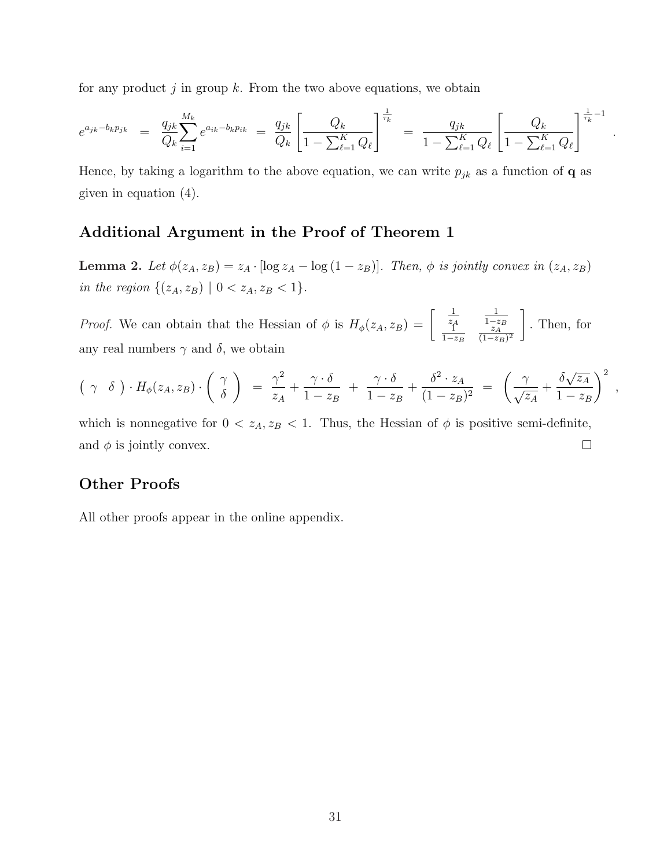for any product  $j$  in group  $k$ . From the two above equations, we obtain

$$
e^{a_{jk} - b_k p_{jk}} = \frac{q_{jk}}{Q_k} \sum_{i=1}^{M_k} e^{a_{ik} - b_k p_{ik}} = \frac{q_{jk}}{Q_k} \left[ \frac{Q_k}{1 - \sum_{\ell=1}^K Q_\ell} \right]^{\frac{1}{\tau_k}} = \frac{q_{jk}}{1 - \sum_{\ell=1}^K Q_\ell} \left[ \frac{Q_k}{1 - \sum_{\ell=1}^K Q_\ell} \right]^{\frac{1}{\tau_k} - 1}
$$

.

,

Hence, by taking a logarithm to the above equation, we can write  $p_{jk}$  as a function of **q** as given in equation (4).

### Additional Argument in the Proof of Theorem 1

Lemma 2. Let  $\phi(z_A, z_B) = z_A \cdot [\log z_A - \log (1 - z_B)].$  Then,  $\phi$  is jointly convex in  $(z_A, z_B)$ in the region  $\{(z_A, z_B) | 0 < z_A, z_B < 1\}.$ 

*Proof.* We can obtain that the Hessian of  $\phi$  is  $H_{\phi}(z_A, z_B) = \begin{bmatrix} \frac{1}{z_A^A} \end{bmatrix}$ 1  $\begin{array}{cc} z_A & 1-z_B \\ 1 & z_A \end{array}$  $1-z_B$  $z_A$  $\overline{(1-z_B)^2}$  $\overline{a}$ . Then, for any real numbers  $\gamma$  and  $\delta$ , we obtain

$$
(\gamma \delta) \cdot H_{\phi}(z_A, z_B) \cdot \left(\begin{array}{c} \gamma \\ \delta \end{array}\right) = \frac{\gamma^2}{z_A} + \frac{\gamma \cdot \delta}{1 - z_B} + \frac{\gamma \cdot \delta}{1 - z_B} + \frac{\delta^2 \cdot z_A}{(1 - z_B)^2} = \left(\frac{\gamma}{\sqrt{z_A}} + \frac{\delta \sqrt{z_A}}{1 - z_B}\right)^2
$$

which is nonnegative for  $0 < z_A, z_B < 1$ . Thus, the Hessian of  $\phi$  is positive semi-definite, and  $\phi$  is jointly convex.  $\Box$ 

### Other Proofs

All other proofs appear in the online appendix.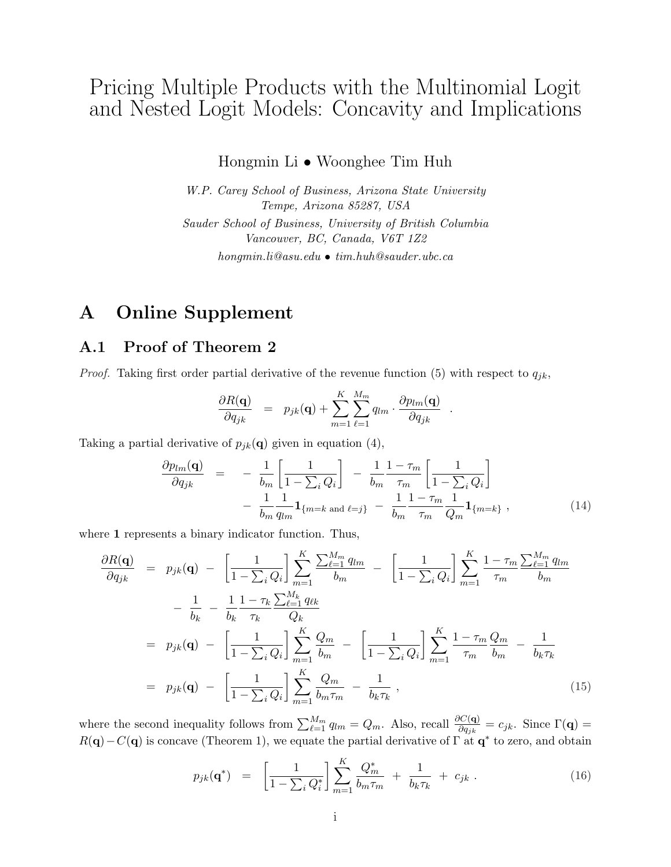# Pricing Multiple Products with the Multinomial Logit and Nested Logit Models: Concavity and Implications

Hongmin Li • Woonghee Tim Huh

W.P. Carey School of Business, Arizona State University Tempe, Arizona 85287, USA Sauder School of Business, University of British Columbia Vancouver, BC, Canada, V6T 1Z2 hongmin.li@asu.edu • tim.huh@sauder.ubc.ca

# A Online Supplement

### A.1 Proof of Theorem 2

*Proof.* Taking first order partial derivative of the revenue function (5) with respect to  $q_{ik}$ ,

$$
\frac{\partial R(\mathbf{q})}{\partial q_{jk}} = p_{jk}(\mathbf{q}) + \sum_{m=1}^{K} \sum_{\ell=1}^{M_m} q_{lm} \cdot \frac{\partial p_{lm}(\mathbf{q})}{\partial q_{jk}}
$$

Taking a partial derivative of  $p_{jk}(\mathbf{q})$  given in equation (4),

$$
\frac{\partial p_{lm}(\mathbf{q})}{\partial q_{jk}} = -\frac{1}{b_m} \left[ \frac{1}{1 - \sum_i Q_i} \right] - \frac{1}{b_m} \frac{1 - \tau_m}{\tau_m} \left[ \frac{1}{1 - \sum_i Q_i} \right] \n- \frac{1}{b_m} \frac{1}{q_{lm}} \mathbf{1}_{\{m = k \text{ and } \ell = j\}} - \frac{1}{b_m} \frac{1 - \tau_m}{\tau_m} \frac{1}{Q_m} \mathbf{1}_{\{m = k\}},
$$
\n(14)

.

where 1 represents a binary indicator function. Thus,

$$
\frac{\partial R(\mathbf{q})}{\partial q_{jk}} = p_{jk}(\mathbf{q}) - \left[\frac{1}{1 - \sum_{i} Q_{i}}\right] \sum_{m=1}^{K} \frac{\sum_{\ell=1}^{M_{m}} q_{lm}}{b_{m}} - \left[\frac{1}{1 - \sum_{i} Q_{i}}\right] \sum_{m=1}^{K} \frac{1 - \tau_{m}}{\tau_{m}} \frac{\sum_{\ell=1}^{M_{m}} q_{lm}}{b_{m}}
$$

$$
- \frac{1}{b_{k}} - \frac{1}{b_{k}} \frac{1 - \tau_{k}}{\tau_{k}} \frac{\sum_{\ell=1}^{M_{k}} q_{\ell k}}{Q_{k}}
$$

$$
= p_{jk}(\mathbf{q}) - \left[\frac{1}{1 - \sum_{i} Q_{i}}\right] \sum_{m=1}^{K} \frac{Q_{m}}{b_{m}} - \left[\frac{1}{1 - \sum_{i} Q_{i}}\right] \sum_{m=1}^{K} \frac{1 - \tau_{m}}{\tau_{m}} \frac{Q_{m}}{b_{m}} - \frac{1}{b_{k} \tau_{k}}
$$

$$
= p_{jk}(\mathbf{q}) - \left[\frac{1}{1 - \sum_{i} Q_{i}}\right] \sum_{m=1}^{K} \frac{Q_{m}}{b_{m} \tau_{m}} - \frac{1}{b_{k} \tau_{k}}, \qquad (15)
$$

where the second inequality follows from  $\sum_{\ell=1}^{M_m} q_{\ell m} = Q_m$ . Also, recall  $\frac{\partial C(\mathbf{q})}{\partial q_{jk}} = c_{jk}$ . Since  $\Gamma(\mathbf{q}) =$  $R(\mathbf{q})-C(\mathbf{q})$  is concave (Theorem 1), we equate the partial derivative of  $\Gamma$  at  $\mathbf{q}^*$  to zero, and obtain

$$
p_{jk}(\mathbf{q}^*) = \left[\frac{1}{1 - \sum_{i} Q_i^*}\right] \sum_{m=1}^K \frac{Q_m^*}{b_m \tau_m} + \frac{1}{b_k \tau_k} + c_{jk} . \tag{16}
$$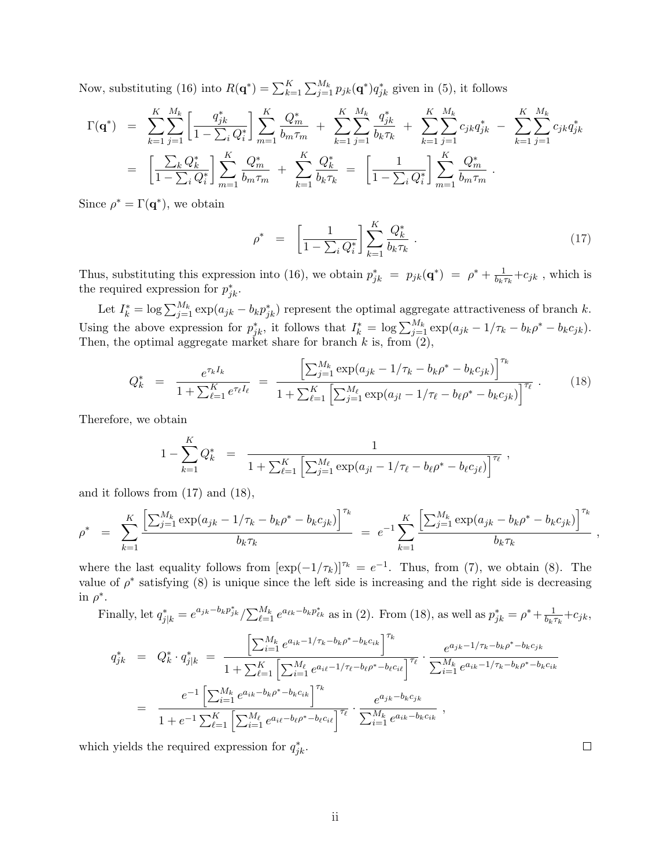Now, substituting (16) into  $R(\mathbf{q}^*) = \sum_{k=1}^K \sum_{j=1}^{M_k} p_{jk}(\mathbf{q}^*) q_{jk}^*$  given in (5), it follows

$$
\Gamma(\mathbf{q}^*) = \sum_{k=1}^K \sum_{j=1}^{M_k} \left[ \frac{q_{jk}^*}{1 - \sum_i Q_i^*} \right] \sum_{m=1}^K \frac{Q_m^*}{b_m \tau_m} + \sum_{k=1}^K \sum_{j=1}^{M_k} \frac{q_{jk}^*}{b_k \tau_k} + \sum_{k=1}^K \sum_{j=1}^{M_k} c_{jk} q_{jk}^* - \sum_{k=1}^K \sum_{j=1}^{M_k} c_{jk} q_{jk}^* \n= \left[ \frac{\sum_k Q_k^*}{1 - \sum_i Q_i^*} \right] \sum_{m=1}^K \frac{Q_m^*}{b_m \tau_m} + \sum_{k=1}^K \frac{Q_k^*}{b_k \tau_k} = \left[ \frac{1}{1 - \sum_i Q_i^*} \right] \sum_{m=1}^K \frac{Q_m^*}{b_m \tau_m}.
$$

Since  $\rho^* = \Gamma(\mathbf{q}^*)$ , we obtain

$$
\rho^* = \left[ \frac{1}{1 - \sum_i Q_i^*} \right] \sum_{k=1}^K \frac{Q_k^*}{b_k \tau_k} \,. \tag{17}
$$

Thus, substituting this expression into (16), we obtain  $p_{jk}^* = p_{jk}(\mathbf{q}^*) = \rho^* + \frac{1}{b_{kj}}$  $\frac{1}{b_k \tau_k} + c_{jk}$ , which is the required expression for  $p_{jk}^*$ .

Let  $I_k^* = \log \sum_{j=1}^{M_k} \exp(a_{jk} - b_k p_{jk}^*)$  represent the optimal aggregate attractiveness of branch k. Using the above expression for  $p_{jk}^*$ , it follows that  $I_k^* = \log \sum_{j=1}^{M_k} \exp(a_{jk} - 1/\tau_k - b_k \rho^* - b_k c_{jk})$ . Then, the optimal aggregate market share for branch  $k$  is, from  $(2)$ ,

$$
Q_k^* = \frac{e^{\tau_k I_k}}{1 + \sum_{\ell=1}^K e^{\tau_\ell I_\ell}} = \frac{\left[\sum_{j=1}^{M_k} \exp(a_{jk} - 1/\tau_k - b_k \rho^* - b_k c_{jk})\right]^{\tau_k}}{1 + \sum_{\ell=1}^K \left[\sum_{j=1}^{M_\ell} \exp(a_{jl} - 1/\tau_\ell - b_\ell \rho^* - b_k c_{jk})\right]^{\tau_\ell}}.
$$
(18)

Therefore, we obtain

$$
1 - \sum_{k=1}^{K} Q_k^* = \frac{1}{1 + \sum_{\ell=1}^{K} \left[ \sum_{j=1}^{M_{\ell}} \exp(a_{jl} - 1/\tau_{\ell} - b_{\ell} \rho^* - b_{\ell} c_{j\ell}) \right]^{\tau_{\ell}}},
$$

and it follows from (17) and (18),

$$
\rho^* = \sum_{k=1}^K \frac{\left[\sum_{j=1}^{M_k} \exp(a_{jk} - 1/\tau_k - b_k \rho^* - b_k c_{jk})\right]^{\tau_k}}{b_k \tau_k} = e^{-1} \sum_{k=1}^K \frac{\left[\sum_{j=1}^{M_k} \exp(a_{jk} - b_k \rho^* - b_k c_{jk})\right]^{\tau_k}}{b_k \tau_k},
$$

where the last equality follows from  $[\exp(-1/\tau_k)]^{\tau_k} = e^{-1}$ . Thus, from (7), we obtain (8). The value of  $\rho^*$  satisfying (8) is unique since the left side is increasing and the right side is decreasing in  $\rho^*$ . ∗  $\overline{M}$ 

Finally, let 
$$
q_{j|k}^* = e^{a_{jk} - b_k p_{jk}^*} / \sum_{\ell=1}^{M_k} e^{a_{\ell k} - b_k p_{\ell k}^*}
$$
 as in (2). From (18), as well as  $p_{jk}^* = \rho^* + \frac{1}{b_k \tau_k} + c_{jk}$ ,  
\n
$$
q_{jk}^* = Q_k^* \cdot q_{j|k}^* = \frac{\left[\sum_{i=1}^{M_k} e^{a_{ik} - 1/\tau_k - b_k \rho^* - b_k c_{ik}}\right]^{\tau_k}}{1 + \sum_{\ell=1}^K \left[\sum_{i=1}^{M_\ell} e^{a_{i\ell} - 1/\tau_\ell - b_\ell \rho^* - b_\ell c_{i\ell}}\right]^{\tau_\ell}} \cdot \frac{e^{a_{jk} - 1/\tau_k - b_k \rho^* - b_k c_{jk}}}{\sum_{i=1}^{M_k} e^{a_{ik} - 1/\tau_k - b_k \rho^* - b_k c_{ik}}}
$$
\n
$$
= \frac{e^{-1} \left[\sum_{i=1}^{M_k} e^{a_{ik} - b_k \rho^* - b_k c_{ik}}\right]^{\tau_k}}{1 + e^{-1} \sum_{\ell=1}^K \left[\sum_{i=1}^{M_\ell} e^{a_{i\ell} - b_\ell \rho^* - b_\ell c_{i\ell}}\right]^{\tau_\ell}} \cdot \frac{e^{a_{jk} - b_k c_{jk}}}{\sum_{i=1}^{M_k} e^{a_{ik} - b_k c_{ik}}},
$$
\n
$$
= \frac{e^{a_{jk} - b_k c_{jk}}}{1 + e^{-1} \sum_{\ell=1}^K \left[\sum_{i=1}^{M_\ell} e^{a_{i\ell} - b_\ell \rho^* - b_\ell c_{i\ell}}\right]^{\tau_\ell}} \cdot \frac{e^{a_{jk} - b_k c_{jk}}}{\sum_{i=1}^{M_k} e^{a_{ik} - b_k c_{ik}}},
$$

which yields the required expression for  $q_{jk}^*$ .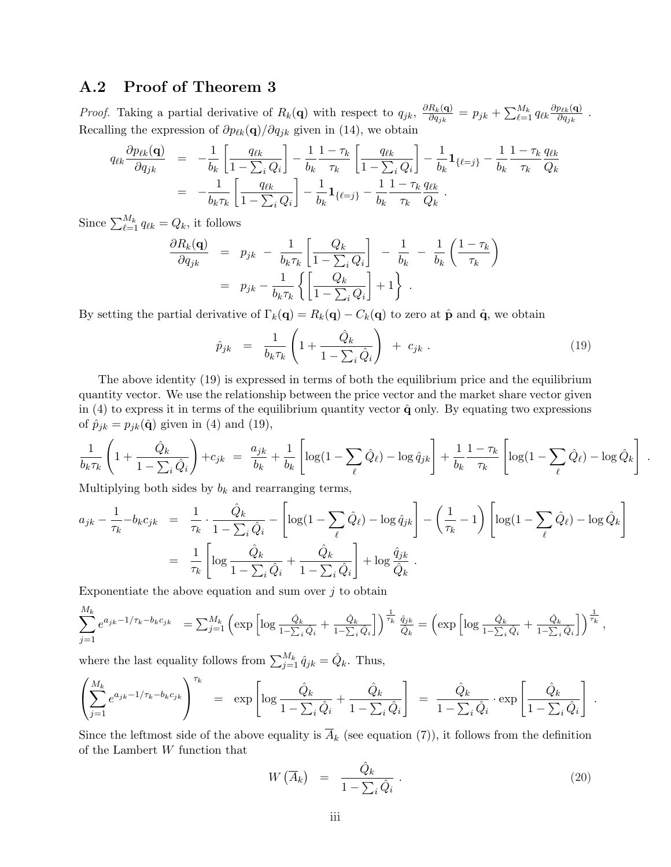### A.2 Proof of Theorem 3

*Proof.* Taking a partial derivative of  $R_k(\mathbf{q})$  with respect to  $q_{jk}$ ,  $\frac{\partial R_k(\mathbf{q})}{\partial q_{ik}}$  $\frac{R_k(\mathbf{q})}{\partial q_{jk}} = p_{jk} + \sum_{\ell=1}^{M_k} q_{\ell k} \frac{\partial p_{\ell k}(\mathbf{q})}{\partial q_{jk}}$  $\frac{p_{\ell k}(\mathbf{q})}{\partial q_{jk}}$  . Recalling the expression of  $\partial p_{\ell k}(\mathbf{q})/\partial q_{jk}$  given in (14), we obtain

$$
q_{\ell k} \frac{\partial p_{\ell k}(\mathbf{q})}{\partial q_{jk}} = -\frac{1}{b_k} \left[ \frac{q_{\ell k}}{1 - \sum_i Q_i} \right] - \frac{1}{b_k} \frac{1 - \tau_k}{\tau_k} \left[ \frac{q_{\ell k}}{1 - \sum_i Q_i} \right] - \frac{1}{b_k} \mathbf{1}_{\{\ell = j\}} - \frac{1}{b_k} \frac{1 - \tau_k}{\tau_k} \frac{q_{\ell k}}{Q_k} = -\frac{1}{b_k \tau_k} \left[ \frac{q_{\ell k}}{1 - \sum_i Q_i} \right] - \frac{1}{b_k} \mathbf{1}_{\{\ell = j\}} - \frac{1}{b_k} \frac{1 - \tau_k}{\tau_k} \frac{q_{\ell k}}{Q_k}.
$$

Since  $\sum_{\ell=1}^{M_k} q_{\ell k} = Q_k$ , it follows

$$
\frac{\partial R_k(\mathbf{q})}{\partial q_{jk}} = p_{jk} - \frac{1}{b_k \tau_k} \left[ \frac{Q_k}{1 - \sum_i Q_i} \right] - \frac{1}{b_k} - \frac{1}{b_k} \left( \frac{1 - \tau_k}{\tau_k} \right)
$$

$$
= p_{jk} - \frac{1}{b_k \tau_k} \left\{ \left[ \frac{Q_k}{1 - \sum_i Q_i} \right] + 1 \right\}.
$$

By setting the partial derivative of  $\Gamma_k(q) = R_k(q) - C_k(q)$  to zero at  $\hat{\mathbf{p}}$  and  $\hat{\mathbf{q}}$ , we obtain

$$
\hat{p}_{jk} = \frac{1}{b_k \tau_k} \left( 1 + \frac{\hat{Q}_k}{1 - \sum_i \hat{Q}_i} \right) + c_{jk} . \tag{19}
$$

The above identity (19) is expressed in terms of both the equilibrium price and the equilibrium quantity vector. We use the relationship between the price vector and the market share vector given in (4) to express it in terms of the equilibrium quantity vector  $\hat{q}$  only. By equating two expressions of  $\hat{p}_{jk} = p_{jk}(\hat{\mathbf{q}})$  given in (4) and (19),

$$
\frac{1}{b_k \tau_k} \left( 1 + \frac{\hat{Q}_k}{1 - \sum_i \hat{Q}_i} \right) + c_{jk} = \frac{a_{jk}}{b_k} + \frac{1}{b_k} \left[ \log(1 - \sum_{\ell} \hat{Q}_{\ell}) - \log \hat{q}_{jk} \right] + \frac{1}{b_k} \frac{1 - \tau_k}{\tau_k} \left[ \log(1 - \sum_{\ell} \hat{Q}_{\ell}) - \log \hat{Q}_k \right] .
$$

Multiplying both sides by  $b_k$  and rearranging terms,

$$
a_{jk} - \frac{1}{\tau_k} - b_k c_{jk} = \frac{1}{\tau_k} \cdot \frac{\hat{Q}_k}{1 - \sum_i \hat{Q}_i} - \left[ \log(1 - \sum_{\ell} \hat{Q}_{\ell}) - \log \hat{q}_{jk} \right] - \left( \frac{1}{\tau_k} - 1 \right) \left[ \log(1 - \sum_{\ell} \hat{Q}_{\ell}) - \log \hat{Q}_k \right]
$$
  
= 
$$
\frac{1}{\tau_k} \left[ \log \frac{\hat{Q}_k}{1 - \sum_i \hat{Q}_i} + \frac{\hat{Q}_k}{1 - \sum_i \hat{Q}_i} \right] + \log \frac{\hat{q}_{jk}}{\hat{Q}_k}.
$$

Exponentiate the above equation and sum over  $j$  to obtain

$$
\sum_{j=1}^{M_k} e^{a_{jk}-1/\tau_k - b_k c_{jk}} = \sum_{j=1}^{M_k} \left( \exp \left[ \log \frac{\hat{Q}_k}{1-\sum_i \hat{Q}_i} + \frac{\hat{Q}_k}{1-\sum_i \hat{Q}_i} \right] \right)^{\frac{1}{\tau_k}} \frac{\hat{q}_{jk}}{\hat{Q}_k} = \left( \exp \left[ \log \frac{\hat{Q}_k}{1-\sum_i \hat{Q}_i} + \frac{\hat{Q}_k}{1-\sum_i \hat{Q}_i} \right] \right)^{\frac{1}{\tau_k}},
$$

where the last equality follows from  $\sum_{j=1}^{M_k} \hat{q}_{jk} = \hat{Q}_k$ . Thus,  $\overline{a}$ 

$$
\left(\sum_{j=1}^{M_k} e^{a_{jk}-1/\tau_k-b_kc_{jk}}\right)^{\tau_k} = \exp\left[\log\frac{\hat{Q}_k}{1-\sum_i\hat{Q}_i}+\frac{\hat{Q}_k}{1-\sum_i\hat{Q}_i}\right] = \frac{\hat{Q}_k}{1-\sum_i\hat{Q}_i}\cdot\exp\left[\frac{\hat{Q}_k}{1-\sum_i\hat{Q}_i}\right].
$$

Since the leftmost side of the above equality is  $\overline{A}_k$  (see equation (7)), it follows from the definition of the Lambert W function that

$$
W\left(\overline{A}_k\right) = \frac{\hat{Q}_k}{1 - \sum_i \hat{Q}_i} \,. \tag{20}
$$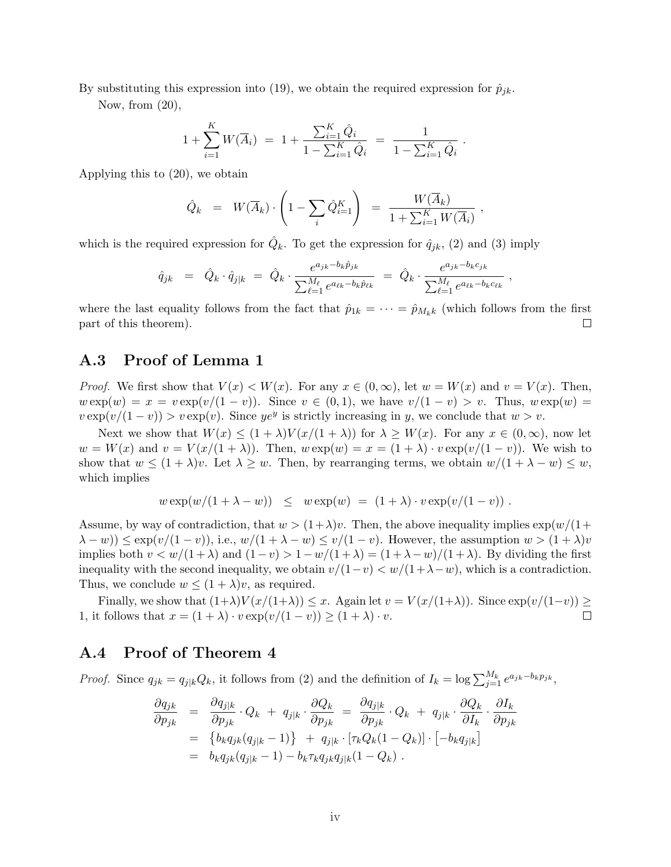By substituting this expression into (19), we obtain the required expression for  $\hat{p}_{jk}$ .

Now, from  $(20)$ ,

$$
1 + \sum_{i=1}^{K} W(\overline{A}_{i}) = 1 + \frac{\sum_{i=1}^{K} \hat{Q}_{i}}{1 - \sum_{i=1}^{K} \hat{Q}_{i}} = \frac{1}{1 - \sum_{i=1}^{K} \hat{Q}_{i}}
$$

Applying this to (20), we obtain

$$
\hat{Q}_k = W(\overline{A}_k) \cdot \left(1 - \sum_i \hat{Q}_{i=1}^K\right) = \frac{W(\overline{A}_k)}{1 + \sum_{i=1}^K W(\overline{A}_i)},
$$

.

which is the required expression for  $\hat{Q}_k$ . To get the expression for  $\hat{q}_{jk}$ , (2) and (3) imply

$$
\hat{q}_{jk} = \hat{Q}_k \cdot \hat{q}_{j|k} = \hat{Q}_k \cdot \frac{e^{a_{jk} - b_k \hat{p}_{jk}}}{\sum_{\ell=1}^{M_{\ell}} e^{a_{\ell k} - b_k \hat{p}_{\ell k}}} = \hat{Q}_k \cdot \frac{e^{a_{jk} - b_k c_{jk}}}{\sum_{\ell=1}^{M_{\ell}} e^{a_{\ell k} - b_k c_{\ell k}}},
$$

where the last equality follows from the fact that  $\hat{p}_{1k} = \cdots = \hat{p}_{M_k,k}$  (which follows from the first part of this theorem).  $\Box$ 

### A.3 Proof of Lemma 1

*Proof.* We first show that  $V(x) < W(x)$ . For any  $x \in (0, \infty)$ , let  $w = W(x)$  and  $v = V(x)$ . Then,  $w \exp(w) = x = v \exp(v/(1-v))$ . Since  $v \in (0,1)$ , we have  $v/(1-v) > v$ . Thus,  $w \exp(w) = v$ .  $v \exp(v/(1-v)) > v \exp(v)$ . Since  $ye^y$  is strictly increasing in y, we conclude that  $w > v$ .

Next we show that  $W(x) \leq (1 + \lambda)V(x/(1 + \lambda))$  for  $\lambda \geq W(x)$ . For any  $x \in (0, \infty)$ , now let  $w = W(x)$  and  $v = V(x/(1+\lambda))$ . Then,  $w \exp(w) = x = (1+\lambda) \cdot v \exp(v/(1-v))$ . We wish to show that  $w \leq (1 + \lambda)v$ . Let  $\lambda \geq w$ . Then, by rearranging terms, we obtain  $w/(1 + \lambda - w) \leq w$ , which implies

$$
w \exp(w/(1+\lambda-w)) \leq w \exp(w) = (1+\lambda) \cdot v \exp(v/(1-v)) .
$$

Assume, by way of contradiction, that  $w > (1+\lambda)v$ . Then, the above inequality implies  $\exp(w/(1+\lambda)v)$  $(\lambda - w) \leq \exp(v/(1 - v))$ , i.e.,  $w/(1 + \lambda - w) \leq v/(1 - v)$ . However, the assumption  $w > (1 + \lambda)v$ implies both  $v < w/(1+\lambda)$  and  $(1-v) > 1-w/(1+\lambda) = (1+\lambda-w)/(1+\lambda)$ . By dividing the first inequality with the second inequality, we obtain  $v/(1-v) < w/(1+\lambda-w)$ , which is a contradiction. Thus, we conclude  $w \leq (1 + \lambda)v$ , as required.

Finally, we show that  $(1+\lambda)V(x/(1+\lambda)) \leq x$ . Again let  $v = V(x/(1+\lambda))$ . Since  $\exp(v/(1-v)) \geq$ 1, it follows that  $x = (1 + \lambda) \cdot v \exp(v/(1 - v)) \ge (1 + \lambda) \cdot v$ .  $\Box$ 

### A.4 Proof of Theorem 4

*Proof.* Since  $q_{jk} = q_{j|k}Q_k$ , it follows from (2) and the definition of  $I_k = \log \sum_{j=1}^{M_k} e^{a_{jk} - b_k p_{jk}}$ ,

$$
\frac{\partial q_{jk}}{\partial p_{jk}} = \frac{\partial q_{j|k}}{\partial p_{jk}} \cdot Q_k + q_{j|k} \cdot \frac{\partial Q_k}{\partial p_{jk}} = \frac{\partial q_{j|k}}{\partial p_{jk}} \cdot Q_k + q_{j|k} \cdot \frac{\partial Q_k}{\partial I_k} \cdot \frac{\partial I_k}{\partial p_{jk}}
$$
  
\n
$$
= \{b_k q_{jk}(q_{j|k} - 1)\} + q_{j|k} \cdot [\tau_k Q_k (1 - Q_k)] \cdot [-b_k q_{j|k}]
$$
  
\n
$$
= b_k q_{jk}(q_{j|k} - 1) - b_k \tau_k q_{jk} q_{j|k} (1 - Q_k).
$$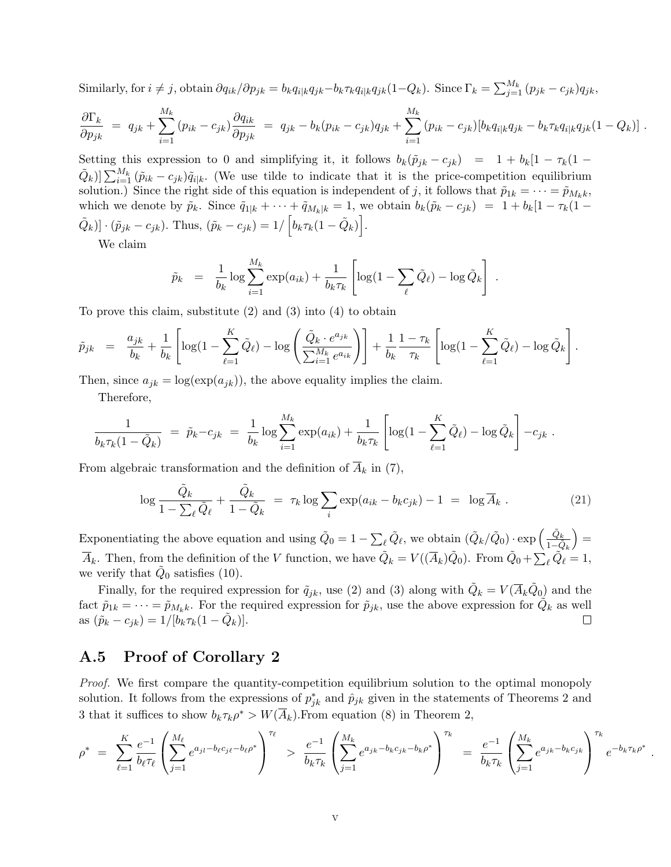Similarly, for  $i \neq j$ , obtain  $\partial q_{ik}/\partial p_{jk} = b_k q_{i|k}q_{jk} - b_k \tau_k q_{i|k}q_{jk}(1-Q_k)$ . Since  $\Gamma_k = \sum_{j=1}^{M_k} (p_{jk} - c_{jk})q_{jk}$ ,

$$
\frac{\partial \Gamma_k}{\partial p_{jk}} = q_{jk} + \sum_{i=1}^{M_k} (p_{ik} - c_{jk}) \frac{\partial q_{ik}}{\partial p_{jk}} = q_{jk} - b_k (p_{ik} - c_{jk}) q_{jk} + \sum_{i=1}^{M_k} (p_{ik} - c_{jk}) [b_k q_{i|k} q_{jk} - b_k \tau_k q_{i|k} q_{jk} (1 - Q_k)].
$$

Setting this expression to 0 and simplifying it, it follows  $b_k(\tilde{p}_{jk} - c_{jk}) = 1 + b_k[1 - \tau_k(1 (\tilde{Q}_k)$   $\sum_{i=1}^{M_k} (\tilde{p}_{ik} - c_{jk})\tilde{q}_{i|k}$ . (We use tilde to indicate that it is the price-competition equilibrium solution.) Since the right side of this equation is independent of j, it follows that  $\tilde{p}_{1k} = \cdots = \tilde{p}_{M_kk}$ , which we denote by  $\tilde{p}_k$ . Since  $\tilde{q}_{1|k} + \cdots + \tilde{q}_{M_k|k} = 1$ , we obtain  $b_k(\tilde{p}_k - c_{jk}) = 1 + b_k[1 - \tau_k(1 (\tilde{Q}_k) \cdot (\tilde{p}_{jk} - c_{jk})$ . Thus,  $(\tilde{p}_k - c_{jk}) = 1/ \left[ b_k \tau_k (1 - \tilde{Q}_k) \right]$ .

We claim

$$
\tilde{p}_k = \frac{1}{b_k} \log \sum_{i=1}^{M_k} \exp(a_{ik}) + \frac{1}{b_k \tau_k} \left[ \log(1 - \sum_{\ell} \tilde{Q}_{\ell}) - \log \tilde{Q}_k \right] .
$$

To prove this claim, substitute (2) and (3) into (4) to obtain

$$
\tilde{p}_{jk} = \frac{a_{jk}}{b_k} + \frac{1}{b_k} \left[ \log(1 - \sum_{\ell=1}^K \tilde{Q}_{\ell}) - \log \left( \frac{\tilde{Q}_k \cdot e^{a_{jk}}}{\sum_{i=1}^{M_k} e^{a_{ik}}} \right) \right] + \frac{1}{b_k} \frac{1 - \tau_k}{\tau_k} \left[ \log(1 - \sum_{\ell=1}^K \tilde{Q}_{\ell}) - \log \tilde{Q}_k \right].
$$

Then, since  $a_{jk} = \log(\exp(a_{jk}))$ , the above equality implies the claim.

Therefore,

$$
\frac{1}{b_k \tau_k (1 - \tilde{Q}_k)} = \tilde{p}_k - c_{jk} = \frac{1}{b_k} \log \sum_{i=1}^{M_k} \exp(a_{ik}) + \frac{1}{b_k \tau_k} \left[ \log(1 - \sum_{\ell=1}^K \tilde{Q}_\ell) - \log \tilde{Q}_k \right] - c_{jk}.
$$

From algebraic transformation and the definition of  $A_k$  in (7),

$$
\log \frac{\tilde{Q}_k}{1 - \sum_{\ell} \tilde{Q}_{\ell}} + \frac{\tilde{Q}_k}{1 - \tilde{Q}_k} = \tau_k \log \sum_{i} \exp(a_{ik} - b_k c_{jk}) - 1 = \log \overline{A}_k. \tag{21}
$$

Exponentiating the above equation and using  $\tilde{Q}_0 = 1 \sum_{\ell} \tilde{Q}_{\ell}$ , we obtain  $(\tilde{Q}_{k}/\tilde{Q}_{0}) \cdot \exp \left(\frac{\tilde{Q}_{k}}{1-\tilde{Q}_{k}}\right)$ =  $\overline{A}_k$ . Then, from the definition of the V function, we have  $\tilde{Q}_k = V((\overline{A}_k)\tilde{Q}_0)$ . From  $\tilde{Q}_0 +$  $\sum_{\ell}^{1-Q_k} \tilde{Q}_{\ell} = 1,$ we verify that  $\tilde{Q}_0$  satisfies (10).

Finally, for the required expression for  $\tilde{q}_{jk}$ , use (2) and (3) along with  $\tilde{Q}_k = V(\overline{A}_k \tilde{Q}_0)$  and the fact  $\tilde{p}_{1k} = \cdots = \tilde{p}_{M_k k}$ . For the required expression for  $\tilde{p}_{jk}$ , use the above expression for  $\tilde{Q}_k$  as well as  $(\tilde{p}_k - c_{jk}) = 1/[\tilde{b_k} \tau_k (1 - \tilde{Q}_k)].$  $\Box$ 

### A.5 Proof of Corollary 2

Proof. We first compare the quantity-competition equilibrium solution to the optimal monopoly solution. It follows from the expressions of  $p_{jk}^*$  and  $\hat{p}_{jk}$  given in the statements of Theorems 2 and 3 that it suffices to show  $b_k \tau_k \rho^* > W(\overline{A}_k)$ . From equation (8) in Theorem 2,

$$
\rho^* = \sum_{\ell=1}^K \frac{e^{-1}}{b_\ell \tau_\ell} \left( \sum_{j=1}^{M_\ell} e^{a_{j l} - b_\ell c_{j \ell} - b_\ell \rho^*} \right)^{\tau_\ell} > \frac{e^{-1}}{b_k \tau_k} \left( \sum_{j=1}^{M_k} e^{a_{j k} - b_k c_{j k} - b_k \rho^*} \right)^{\tau_k} = \frac{e^{-1}}{b_k \tau_k} \left( \sum_{j=1}^{M_k} e^{a_{j k} - b_k c_{j k}} \right)^{\tau_k} e^{-b_k \tau_k \rho^*}
$$

.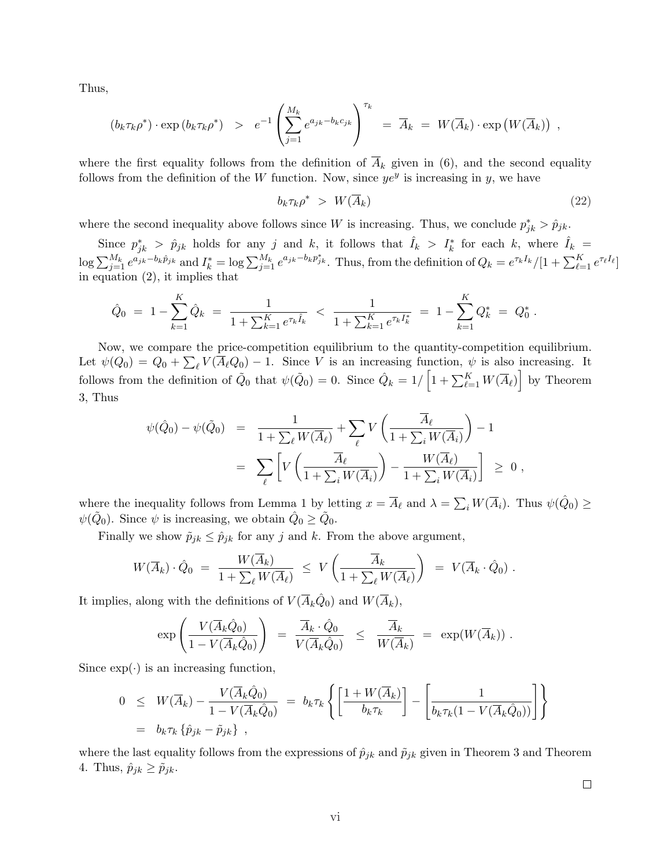Thus,

$$
(b_k \tau_k \rho^*) \cdot \exp(b_k \tau_k \rho^*) \geq e^{-1} \left( \sum_{j=1}^{M_k} e^{a_{jk} - b_k c_{jk}} \right)^{\tau_k} = \overline{A}_k = W(\overline{A}_k) \cdot \exp(W(\overline{A}_k))
$$

where the first equality follows from the definition of  $\overline{A}_k$  given in (6), and the second equality follows from the definition of the W function. Now, since  $ye^y$  is increasing in y, we have

$$
b_k \tau_k \rho^* \ge W(\overline{A}_k) \tag{22}
$$

,

where the second inequality above follows since W is increasing. Thus, we conclude  $p_{jk}^* > \hat{p}_{jk}$ .

Since  $p_{jk}^*$  >  $\hat{p}_{jk}$  holds for any j and k, it follows that  $\hat{I}_k$  >  $I_k^*$  for each k, where  $\hat{I}_k$  =  $\log \sum_{j=1}^{M_k} e^{a_{jk}-b_k\hat{p}_{jk}}$  and  $I_k^* = \log \sum_{j=1}^{M_k} e^{a_{jk}-b_kp_{jk}^*}$ . Thus, from the definition of  $Q_k = e^{\tau_k I_k}/[1 + \sum_{\ell=1}^K e^{\tau_\ell I_\ell}]$ in equation (2), it implies that

$$
\hat{Q}_0 = 1 - \sum_{k=1}^K \hat{Q}_k = \frac{1}{1 + \sum_{k=1}^K e^{\tau_k \hat{I}_k}} < \frac{1}{1 + \sum_{k=1}^K e^{\tau_k I_k^*}} = 1 - \sum_{k=1}^K Q_k^* = Q_0^*.
$$

Now, we compare the price-competition equilibrium to the quantity-competition equilibrium. Let  $\psi(Q_0) = Q_0 + \sum_{\ell} V(\overline{A}_{\ell}Q_0) - 1$ . Since V is an increasing function,  $\psi$  is also increasing. It follows from the definition of  $\tilde{Q}_0$  that  $\psi(\tilde{Q}_0) = 0$ . Since  $\hat{Q}_k = 1/\left[1 + \sum_{\ell=1}^K W(\overline{A}_{\ell})\right]$  by Theorem 3, Thus

$$
\psi(\hat{Q}_0) - \psi(\tilde{Q}_0) = \frac{1}{1 + \sum_{\ell} W(\overline{A}_{\ell})} + \sum_{\ell} V\left(\frac{\overline{A}_{\ell}}{1 + \sum_{i} W(\overline{A}_{i})}\right) - 1
$$
  

$$
= \sum_{\ell} \left[ V\left(\frac{\overline{A}_{\ell}}{1 + \sum_{i} W(\overline{A}_{i})}\right) - \frac{W(\overline{A}_{\ell})}{1 + \sum_{i} W(\overline{A}_{i})} \right] \geq 0,
$$

where the inequality follows from Lemma 1 by letting  $x = \overline{A}_{\ell}$  and  $\lambda =$  $\sum_i W(\overline{A}_i)$ . Thus  $\psi(\hat{Q}_0) \geq$  $\psi(\tilde{Q}_0)$ . Since  $\psi$  is increasing, we obtain  $\hat{Q}_0 \ge \tilde{Q}_0$ .

Finally we show  $\tilde{p}_{jk} \leq \hat{p}_{jk}$  for any j and k. From the above argument,

$$
W(\overline{A}_k) \cdot \hat{Q}_0 = \frac{W(\overline{A}_k)}{1 + \sum_{\ell} W(\overline{A}_{\ell})} \leq V\left(\frac{\overline{A}_k}{1 + \sum_{\ell} W(\overline{A}_{\ell})}\right) = V(\overline{A}_k \cdot \hat{Q}_0).
$$

It implies, along with the definitions of  $V(\overline{A}_k\hat{Q}_0)$  and  $W(\overline{A}_k)$ ,

$$
\exp\left(\frac{V(\overline{A}_k \hat{Q}_0)}{1 - V(\overline{A}_k \hat{Q}_0)}\right) = \frac{\overline{A}_k \cdot \hat{Q}_0}{V(\overline{A}_k \hat{Q}_0)} \leq \frac{\overline{A}_k}{W(\overline{A}_k)} = \exp(W(\overline{A}_k)) .
$$

Since  $\exp(\cdot)$  is an increasing function,

$$
0 \leq W(\overline{A}_k) - \frac{V(\overline{A}_k \hat{Q}_0)}{1 - V(\overline{A}_k \hat{Q}_0)} = b_k \tau_k \left\{ \left[ \frac{1 + W(\overline{A}_k)}{b_k \tau_k} \right] - \left[ \frac{1}{b_k \tau_k (1 - V(\overline{A}_k \hat{Q}_0))} \right] \right\}
$$
  
=  $b_k \tau_k \left\{ \hat{p}_{jk} - \tilde{p}_{jk} \right\}$ ,

where the last equality follows from the expressions of  $\hat{p}_{jk}$  and  $\tilde{p}_{jk}$  given in Theorem 3 and Theorem 4. Thus,  $\hat{p}_{jk} \geq \tilde{p}_{jk}$ .

 $\Box$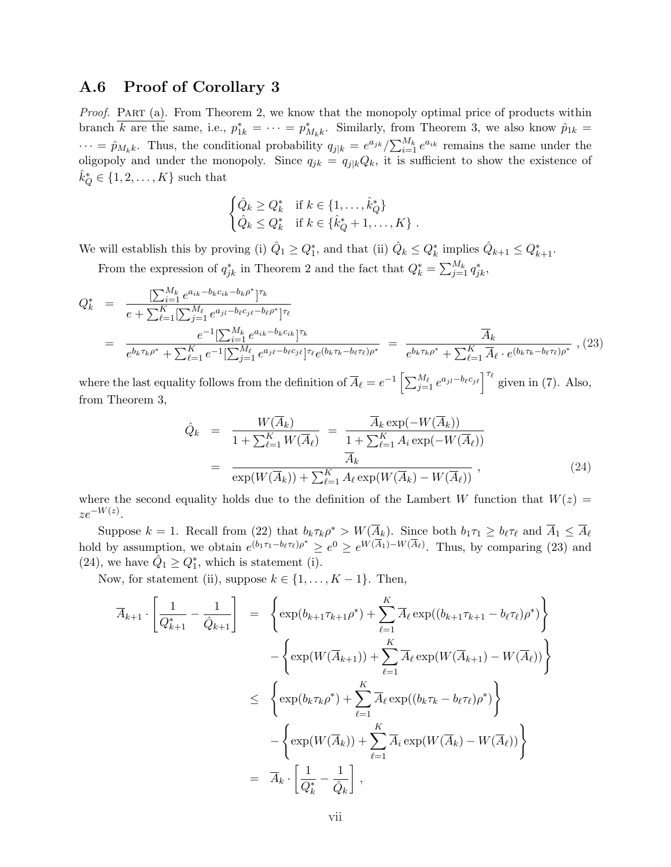### A.6 Proof of Corollary 3

Proof. PART (a). From Theorem 2, we know that the monopoly optimal price of products within branch  $\overline{k}$  are the same, i.e.,  $p_{1k}^* = \cdots = p_{M_k k}^*$ . Similarly, from Theorem 3, we also know  $\hat{p}_{1k} =$  $\cdots = \hat{p}_{M_k k}$ . Thus, the conditional probability  $q_{j|k} = e^{a_{jk}} / \sum_{i=1}^{M_k} e^{a_{ik}}$  remains the same under the oligopoly and under the monopoly. Since  $q_{jk} = q_{j|k}Q_k$ , it is sufficient to show the existence of  $\hat{k}_Q^* \in \{1, 2, \ldots, K\}$  such that

$$
\begin{cases} \hat{Q}_k \geq Q_k^* & \text{if } k \in \{1, \ldots, \hat{k}_Q^*\} \\ \hat{Q}_k \leq Q_k^* & \text{if } k \in \{\hat{k}_Q^* + 1, \ldots, K\} \end{cases}.
$$

We will establish this by proving (i)  $\hat{Q}_1 \geq Q_1^*$ , and that (ii)  $\hat{Q}_k \leq Q_k^*$  implies  $\hat{Q}_{k+1} \leq Q_{k+1}^*$ .

From the expression of  $q_{jk}^*$  in Theorem 2 and the fact that  $Q_k^* = \sum_{j=1}^{M_k} q_{jk}^*$ ,

$$
Q_k^* = \frac{\left[\sum_{i=1}^{M_k} e^{a_{ik} - b_k c_{ik} - b_k \rho^*}\right]^{\tau_k}}{e + \sum_{\ell=1}^K \left[\sum_{j=1}^{M_\ell} e^{a_{jl} - b_\ell c_{j\ell} - b_\ell \rho^*}\right]^{\tau_\ell}} = \frac{A_k}{e^{b_k \tau_k \rho^*} + \sum_{\ell=1}^K e^{-1} \left[\sum_{j=1}^{M_k} e^{a_{ik} - b_k c_{ik}}\right]^{\tau_k}} = \frac{A_k}{e^{b_k \tau_k \rho^*} + \sum_{\ell=1}^K \overline{A}_\ell \cdot e^{(b_k \tau_k - b_\ell \tau_\ell)\rho^*}} \,, (23)
$$

where the last equality follows from the definition of  $\overline{A}_{\ell} = e^{-1} \left[ \sum_{j=1}^{M_{\ell}} e^{a_{jl} - b_{\ell} c_{j\ell}} \right]^{\tau_{\ell}}$  given in (7). Also, from Theorem 3,

$$
\hat{Q}_k = \frac{W(\overline{A}_k)}{1 + \sum_{\ell=1}^K W(\overline{A}_\ell)} = \frac{\overline{A}_k \exp(-W(\overline{A}_k))}{1 + \sum_{\ell=1}^K A_i \exp(-W(\overline{A}_\ell))}
$$
\n
$$
= \frac{\overline{A}_k}{\exp(W(\overline{A}_k)) + \sum_{\ell=1}^K A_\ell \exp(W(\overline{A}_k) - W(\overline{A}_\ell))},
$$
\n(24)

where the second equality holds due to the definition of the Lambert W function that  $W(z)$  =  $ze^{-W(z)}$ .

Suppose  $k = 1$ . Recall from (22) that  $b_k \tau_k \rho^* > W(\overline{A}_k)$ . Since both  $b_1 \tau_1 \geq b_\ell \tau_\ell$  and  $\overline{A}_1 \leq \overline{A}_\ell$ hold by assumption, we obtain  $e^{(b_1\tau_1-b_\ell\tau_\ell)\rho^*} \geq e^0 \geq e^{W(\overline{A}_1)-W(\overline{A}_\ell)}$ . Thus, by comparing (23) and (24), we have  $\hat{Q}_1 \geq Q_1^*$ , which is statement (i).

Now, for statement (ii), suppose  $k \in \{1, \ldots, K-1\}$ . Then,

$$
\overline{A}_{k+1} \cdot \left[ \frac{1}{Q_{k+1}^*} - \frac{1}{\hat{Q}_{k+1}} \right] = \left\{ \exp(b_{k+1}\tau_{k+1}\rho^*) + \sum_{\ell=1}^K \overline{A}_{\ell} \exp((b_{k+1}\tau_{k+1} - b_{\ell}\tau_{\ell})\rho^*) \right\}
$$

$$
- \left\{ \exp(W(\overline{A}_{k+1})) + \sum_{\ell=1}^K \overline{A}_{\ell} \exp(W(\overline{A}_{k+1}) - W(\overline{A}_{\ell})) \right\}
$$

$$
\leq \left\{ \exp(b_k\tau_k\rho^*) + \sum_{\ell=1}^K \overline{A}_{\ell} \exp((b_k\tau_k - b_{\ell}\tau_{\ell})\rho^*) \right\}
$$

$$
- \left\{ \exp(W(\overline{A}_k)) + \sum_{\ell=1}^K \overline{A}_{\ell} \exp(W(\overline{A}_k) - W(\overline{A}_{\ell})) \right\}
$$

$$
= \overline{A}_k \cdot \left[ \frac{1}{Q_k^*} - \frac{1}{\hat{Q}_k} \right],
$$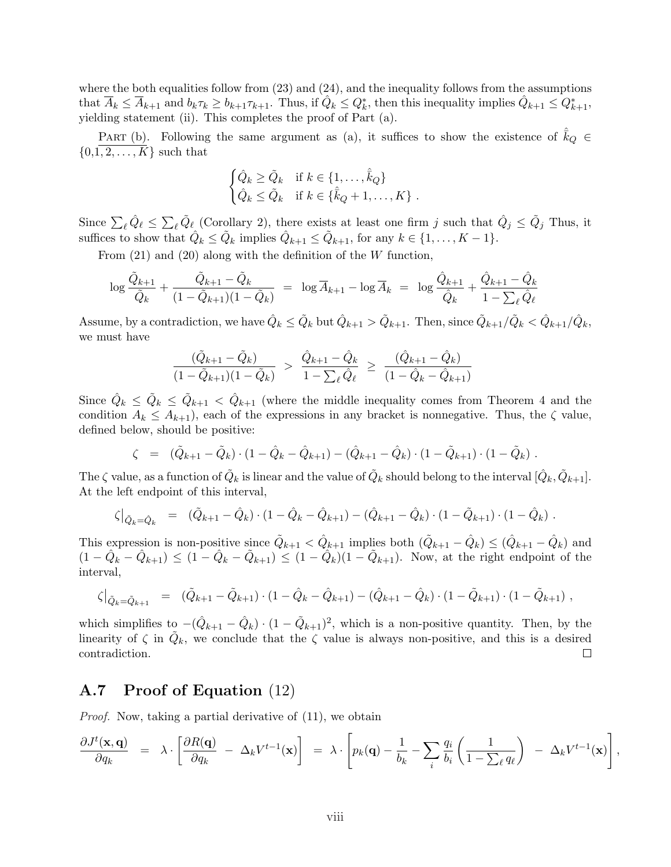where the both equalities follow from  $(23)$  and  $(24)$ , and the inequality follows from the assumptions that  $\overline{A}_k \leq \overline{A}_{k+1}$  and  $b_k \tau_k \geq b_{k+1} \tau_{k+1}$ . Thus, if  $\hat{Q}_k \leq Q_k^*$ , then this inequality implies  $\hat{Q}_{k+1} \leq Q_{k+1}^*$ , yielding statement (ii). This completes the proof of Part (a).

PART (b). Following the same argument as (a), it suffices to show the existence of  $k_Q \in$  $\{0,1,2,\ldots,K\}$  such that

$$
\begin{cases} \hat{Q}_k \ge \tilde{Q}_k & \text{if } k \in \{1, \dots, \hat{k}_Q\} \\ \hat{Q}_k \le \tilde{Q}_k & \text{if } k \in \{\hat{k}_Q + 1, \dots, K\} \end{cases}.
$$

Since  $\sum_{\ell} \hat{Q}_{\ell} \leq$  $\sum_{\ell} \tilde{Q}_{\ell}$  (Corollary 2), there exists at least one firm j such that  $\hat{Q}_j \leq \tilde{Q}_j$  Thus, it suffices to show that  $\hat{Q}_k \leq \tilde{Q}_k$  implies  $\hat{Q}_{k+1} \leq \tilde{Q}_{k+1}$ , for any  $k \in \{1, ..., K-1\}$ .

From  $(21)$  and  $(20)$  along with the definition of the W function,

$$
\log \frac{\tilde{Q}_{k+1}}{\tilde{Q}_k} + \frac{\tilde{Q}_{k+1} - \tilde{Q}_k}{(1 - \tilde{Q}_{k+1})(1 - \tilde{Q}_k)} = \log \overline{A}_{k+1} - \log \overline{A}_k = \log \frac{\hat{Q}_{k+1}}{\hat{Q}_k} + \frac{\hat{Q}_{k+1} - \hat{Q}_k}{1 - \sum_{\ell} \hat{Q}_{\ell}}
$$

Assume, by a contradiction, we have  $\hat{Q}_k \leq \tilde{Q}_k$  but  $\hat{Q}_{k+1} > \tilde{Q}_{k+1}$ . Then, since  $\tilde{Q}_{k+1}/\tilde{Q}_k < \hat{Q}_{k+1}/\hat{Q}_k$ , we must have

$$
\frac{(\tilde{Q}_{k+1} - \tilde{Q}_k)}{(1 - \tilde{Q}_{k+1})(1 - \tilde{Q}_k)} > \frac{\hat{Q}_{k+1} - \hat{Q}_k}{1 - \sum_{\ell} \hat{Q}_{\ell}} \ge \frac{(\hat{Q}_{k+1} - \hat{Q}_k)}{(1 - \hat{Q}_k - \hat{Q}_{k+1})}
$$

Since  $\hat{Q}_k \leq \tilde{Q}_k \leq \tilde{Q}_{k+1} < \hat{Q}_{k+1}$  (where the middle inequality comes from Theorem 4 and the condition  $A_k \leq A_{k+1}$ , each of the expressions in any bracket is nonnegative. Thus, the  $\zeta$  value, defined below, should be positive:

$$
\zeta = (\tilde{Q}_{k+1} - \tilde{Q}_k) \cdot (1 - \hat{Q}_k - \hat{Q}_{k+1}) - (\hat{Q}_{k+1} - \hat{Q}_k) \cdot (1 - \tilde{Q}_{k+1}) \cdot (1 - \tilde{Q}_k) .
$$

The  $\zeta$  value, as a function of  $\tilde{Q}_k$  is linear and the value of  $\tilde{Q}_k$  should belong to the interval  $[\hat{Q}_k, \tilde{Q}_{k+1}]$ . At the left endpoint of this interval,

$$
\zeta\big|_{\tilde{Q}_k=\hat{Q}_k} = (\tilde{Q}_{k+1}-\hat{Q}_k)\cdot(1-\hat{Q}_k-\hat{Q}_{k+1}) - (\hat{Q}_{k+1}-\hat{Q}_k)\cdot(1-\tilde{Q}_{k+1})\cdot(1-\hat{Q}_k).
$$

This expression is non-positive since  $\tilde{Q}_{k+1} < \hat{Q}_{k+1}$  implies both  $(\tilde{Q}_{k+1} - \hat{Q}_k) \leq (\hat{Q}_{k+1} - \hat{Q}_k)$  and  $(1 - \hat{Q}_k - \hat{Q}_{k+1}) \leq (1 - \hat{Q}_k - \tilde{Q}_{k+1}) \leq (1 - \hat{Q}_k)(1 - \tilde{Q}_{k+1})$ . Now, at the right endpoint of the interval,

$$
\zeta\big|_{\tilde{Q}_k=\tilde{Q}_{k+1}} = (\tilde{Q}_{k+1}-\tilde{Q}_{k+1})\cdot(1-\hat{Q}_k-\hat{Q}_{k+1}) - (\hat{Q}_{k+1}-\hat{Q}_k)\cdot(1-\tilde{Q}_{k+1})\cdot(1-\tilde{Q}_{k+1}),
$$

which simplifies to  $-(\hat{Q}_{k+1}-\hat{Q}_k) \cdot (1-\tilde{Q}_{k+1})^2$ , which is a non-positive quantity. Then, by the linearity of  $\zeta$  in  $\tilde{Q}_k$ , we conclude that the  $\zeta$  value is always non-positive, and this is a desired contradiction.  $\Box$ 

### A.7 Proof of Equation (12)

Proof. Now, taking a partial derivative of (11), we obtain

$$
\frac{\partial J^t(\mathbf{x}, \mathbf{q})}{\partial q_k} = \lambda \cdot \left[ \frac{\partial R(\mathbf{q})}{\partial q_k} - \Delta_k V^{t-1}(\mathbf{x}) \right] = \lambda \cdot \left[ p_k(\mathbf{q}) - \frac{1}{b_k} - \sum_i \frac{q_i}{b_i} \left( \frac{1}{1 - \sum_{\ell} q_{\ell}} \right) - \Delta_k V^{t-1}(\mathbf{x}) \right],
$$